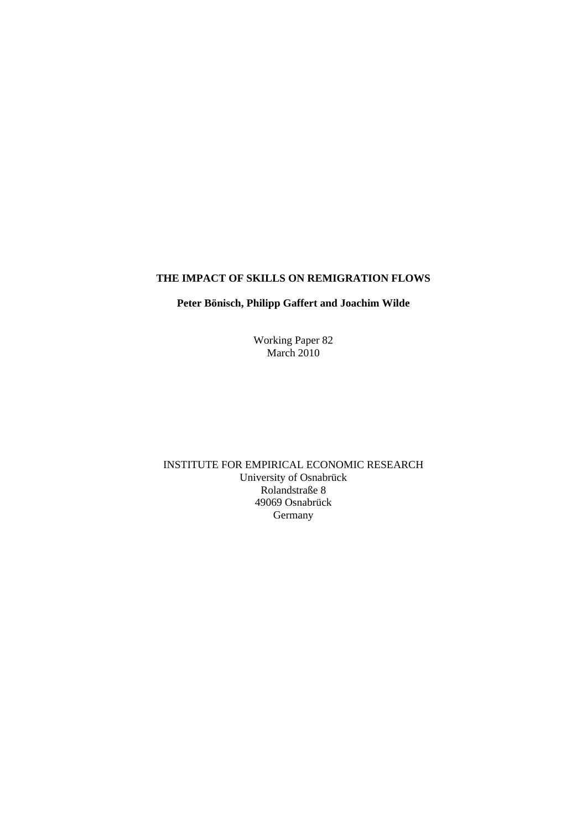## **THE IMPACT OF SKILLS ON REMIGRATION FLOWS**

#### **Peter Bönisch, Philipp Gaffert and Joachim Wilde**

Working Paper 82 March  $2010$ 

INSTITUTE FOR EMPIRICAL ECONOMIC RESEARCH University of Osnabrück Rolandstraße 8 49069 Osnabrück Germany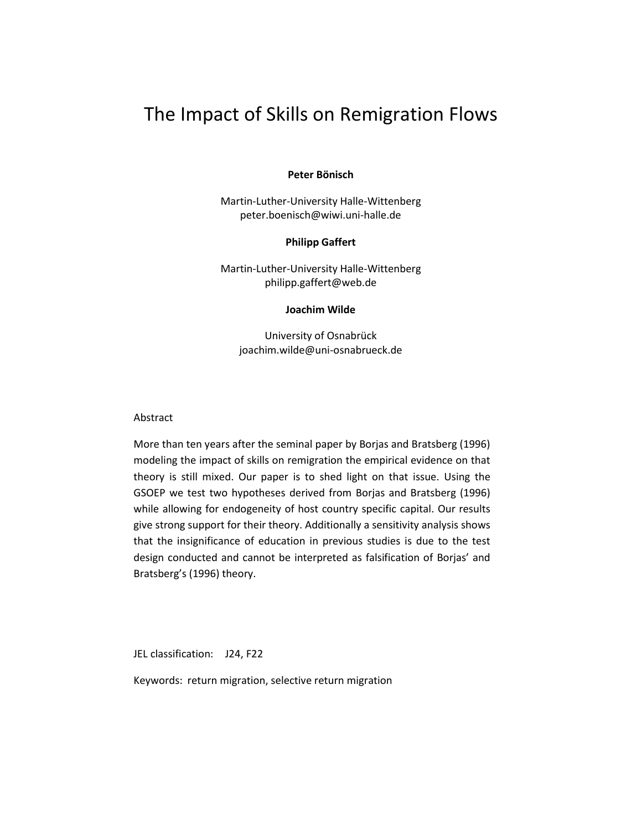# The Impact of Skills on Remigration Flows

**Peter Bönisch**

Martin-Luther-University Halle-Wittenberg peter.boenisch@wiwi.uni-halle.de

#### **Philipp Gaffert**

Martin-Luther-University Halle-Wittenberg philipp.gaffert@web.de

**Joachim Wilde**

University of Osnabrück [joachim.wilde@uni-osnabrueck.de](mailto:joachim.wilde@uni-osnabrueck.de)

#### Abstract

More than ten years after the seminal paper by Borjas and Bratsberg (1996) modeling the impact of skills on remigration the empirical evidence on that theory is still mixed. Our paper is to shed light on that issue. Using the GSOEP we test two hypotheses derived from Borjas and Bratsberg (1996) while allowing for endogeneity of host country specific capital. Our results give strong support for their theory. Additionally a sensitivity analysis shows that the insignificance of education in previous studies is due to the test design conducted and cannot be interpreted as falsification of Borjas' and Bratsberg's (1996) theory.

JEL classification: J24, F22

Keywords: return migration, selective return migration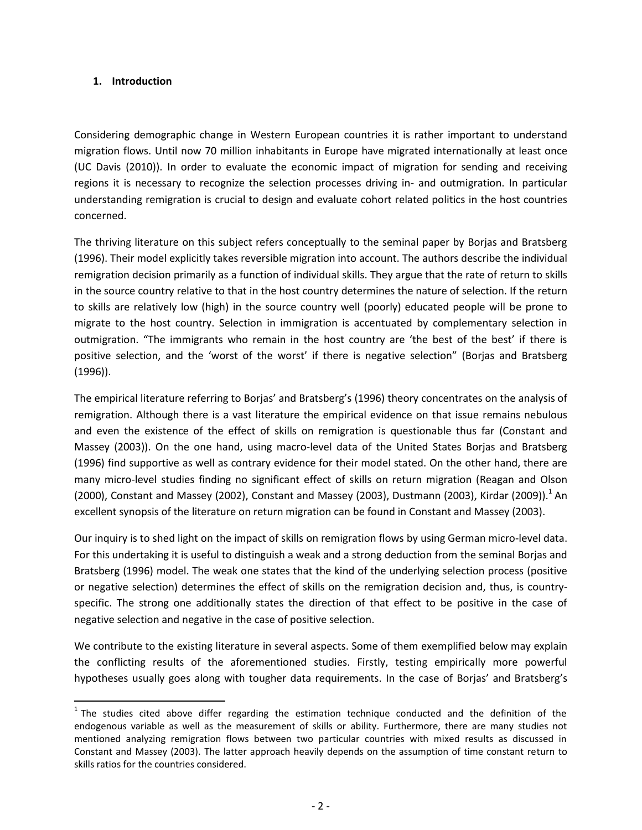#### **1. Introduction**

 $\overline{a}$ 

Considering demographic change in Western European countries it is rather important to understand migration flows. Until now 70 million inhabitants in Europe have migrated internationally at least once (UC Davis (2010)). In order to evaluate the economic impact of migration for sending and receiving regions it is necessary to recognize the selection processes driving in- and outmigration. In particular understanding remigration is crucial to design and evaluate cohort related politics in the host countries concerned.

The thriving literature on this subject refers conceptually to the seminal paper by Borjas and Bratsberg (1996). Their model explicitly takes reversible migration into account. The authors describe the individual remigration decision primarily as a function of individual skills. They argue that the rate of return to skills in the source country relative to that in the host country determines the nature of selection. If the return to skills are relatively low (high) in the source country well (poorly) educated people will be prone to migrate to the host country. Selection in immigration is accentuated by complementary selection in outmigration. "The immigrants who remain in the host country are 'the best of the best' if there is positive selection, and the 'worst of the worst' if there is negative selection" (Borjas and Bratsberg (1996)).

The empirical literature referring to Borjas' and Bratsberg's (1996) theory concentrates on the analysis of remigration. Although there is a vast literature the empirical evidence on that issue remains nebulous and even the existence of the effect of skills on remigration is questionable thus far (Constant and Massey (2003)). On the one hand, using macro-level data of the United States Borjas and Bratsberg (1996) find supportive as well as contrary evidence for their model stated. On the other hand, there are many micro-level studies finding no significant effect of skills on return migration (Reagan and Olson (2000), Constant and Massey (2002), Constant and Massey (2003), Dustmann (2003), Kirdar (2009)).<sup>1</sup> An excellent synopsis of the literature on return migration can be found in Constant and Massey (2003).

Our inquiry is to shed light on the impact of skills on remigration flows by using German micro-level data. For this undertaking it is useful to distinguish a weak and a strong deduction from the seminal Borjas and Bratsberg (1996) model. The weak one states that the kind of the underlying selection process (positive or negative selection) determines the effect of skills on the remigration decision and, thus, is countryspecific. The strong one additionally states the direction of that effect to be positive in the case of negative selection and negative in the case of positive selection.

We contribute to the existing literature in several aspects. Some of them exemplified below may explain the conflicting results of the aforementioned studies. Firstly, testing empirically more powerful hypotheses usually goes along with tougher data requirements. In the case of Borjas' and Bratsberg's

 $1$  The studies cited above differ regarding the estimation technique conducted and the definition of the endogenous variable as well as the measurement of skills or ability. Furthermore, there are many studies not mentioned analyzing remigration flows between two particular countries with mixed results as discussed in Constant and Massey (2003). The latter approach heavily depends on the assumption of time constant return to skills ratios for the countries considered.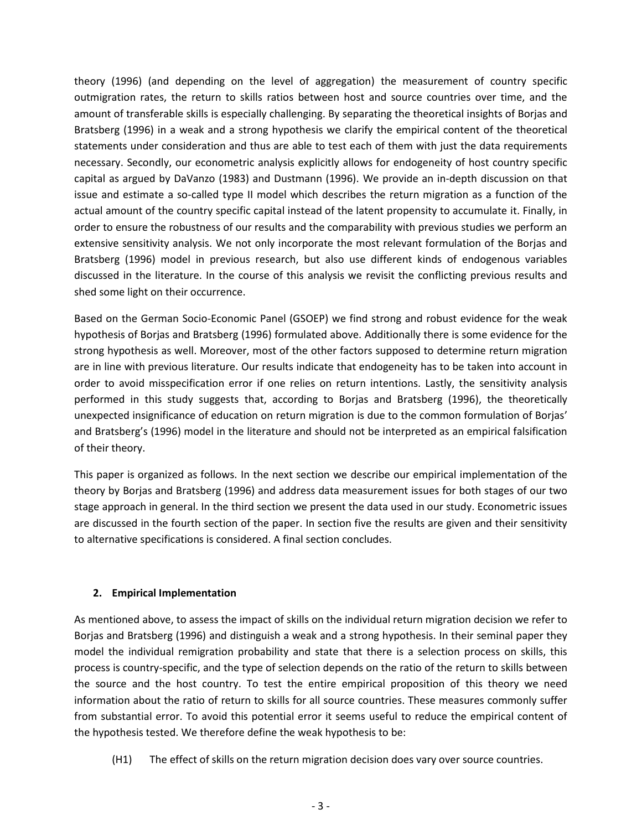theory (1996) (and depending on the level of aggregation) the measurement of country specific outmigration rates, the return to skills ratios between host and source countries over time, and the amount of transferable skills is especially challenging. By separating the theoretical insights of Borjas and Bratsberg (1996) in a weak and a strong hypothesis we clarify the empirical content of the theoretical statements under consideration and thus are able to test each of them with just the data requirements necessary. Secondly, our econometric analysis explicitly allows for endogeneity of host country specific capital as argued by DaVanzo (1983) and Dustmann (1996). We provide an in-depth discussion on that issue and estimate a so-called type II model which describes the return migration as a function of the actual amount of the country specific capital instead of the latent propensity to accumulate it. Finally, in order to ensure the robustness of our results and the comparability with previous studies we perform an extensive sensitivity analysis. We not only incorporate the most relevant formulation of the Borjas and Bratsberg (1996) model in previous research, but also use different kinds of endogenous variables discussed in the literature. In the course of this analysis we revisit the conflicting previous results and shed some light on their occurrence.

Based on the German Socio-Economic Panel (GSOEP) we find strong and robust evidence for the weak hypothesis of Borjas and Bratsberg (1996) formulated above. Additionally there is some evidence for the strong hypothesis as well. Moreover, most of the other factors supposed to determine return migration are in line with previous literature. Our results indicate that endogeneity has to be taken into account in order to avoid misspecification error if one relies on return intentions. Lastly, the sensitivity analysis performed in this study suggests that, according to Borjas and Bratsberg (1996), the theoretically unexpected insignificance of education on return migration is due to the common formulation of Borjas' and Bratsberg's (1996) model in the literature and should not be interpreted as an empirical falsification of their theory.

This paper is organized as follows. In the next section we describe our empirical implementation of the theory by Borjas and Bratsberg (1996) and address data measurement issues for both stages of our two stage approach in general. In the third section we present the data used in our study. Econometric issues are discussed in the fourth section of the paper. In section five the results are given and their sensitivity to alternative specifications is considered. A final section concludes.

## **2. Empirical Implementation**

As mentioned above, to assess the impact of skills on the individual return migration decision we refer to Borjas and Bratsberg (1996) and distinguish a weak and a strong hypothesis. In their seminal paper they model the individual remigration probability and state that there is a selection process on skills, this process is country-specific, and the type of selection depends on the ratio of the return to skills between the source and the host country. To test the entire empirical proposition of this theory we need information about the ratio of return to skills for all source countries. These measures commonly suffer from substantial error. To avoid this potential error it seems useful to reduce the empirical content of the hypothesis tested. We therefore define the weak hypothesis to be:

(H1) The effect of skills on the return migration decision does vary over source countries.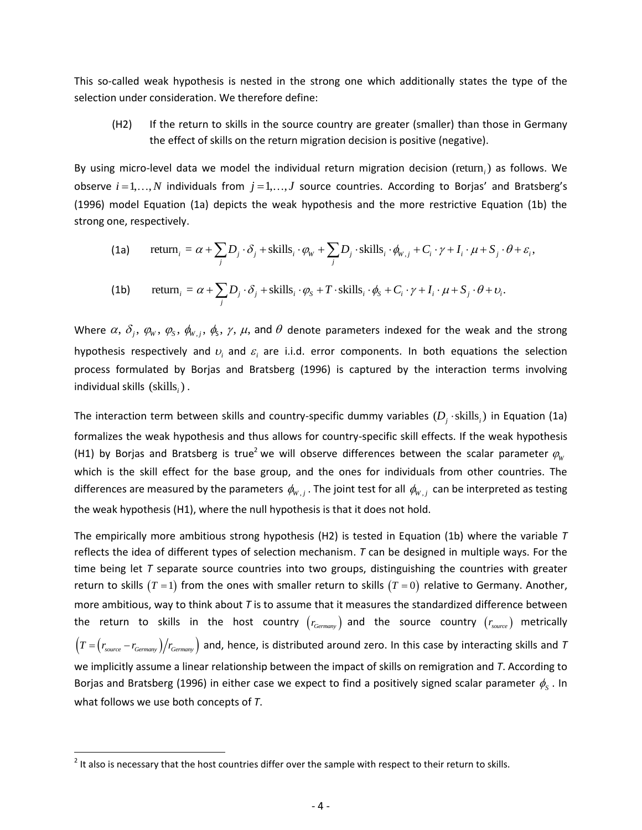This so-called weak hypothesis is nested in the strong one which additionally states the type of the selection under consideration. We therefore define:

(H2) If the return to skills in the source country are greater (smaller) than those in Germany the effect of skills on the return migration decision is positive (negative).

By using micro-level data we model the individual return migration decision (return<sub>i</sub>) as follows. We observe *i* = 1,..., *N* individuals from *j* = 1,..., *J* source countries. According to Borjas' and Bratsberg's (1996) model Equation (1a) depicts the weak hypothesis and the more restrictive Equation (1b) the strong on (1996) model Equation (1a) depicts the weak hypothesis and the more restrictive Equation (1b) the strong one, respectively. (1a) depicts the weak hypothesis and the more restrictive Equation (1b) the  $\alpha + \sum_j D_j \cdot \delta_j + \text{skills}_i \cdot \phi_W + \sum_j D_j \cdot \text{skills}_i \cdot \phi_{W,j} + C_i \cdot \gamma + I_i \cdot \mu + S_j \cdot \theta + \varepsilon_i,$ 

(1a) return<sub>i</sub> = 
$$
\alpha + \sum_{j} D_j \cdot \delta_j + \text{skills}_i \cdot \varphi_w + \sum_{j} D_j \cdot \text{skills}_i \cdot \varphi_{w,j} + C_i \cdot \gamma + I_i \cdot \mu + S_j \cdot \theta + \varepsilon_i,
$$
  
(1b) return<sub>i</sub> =  $\alpha + \sum_{j} D_j \cdot \delta_j + \text{skills}_i \cdot \varphi_s + T \cdot \text{skills}_i \cdot \varphi_s + C_i \cdot \gamma + I_i \cdot \mu + S_j \cdot \theta + \nu_i.$ 

(1b) return<sub>i</sub> = 
$$
\alpha + \sum_{j} D_j \cdot \delta_j + \text{skills}_i \cdot \varphi_s + T \cdot \text{skills}_i \cdot \varphi_s + C_i \cdot \gamma + I_i \cdot \mu + S_j \cdot \theta + \nu_i.
$$

Where  $\alpha, \delta_j, \varphi_{\rm w}, \varphi_{\rm s}, \phi_{\rm w, j}, \phi_{\rm s}, \gamma, \mu$ , and  $\theta$  denote parameters indexed for the weak and the strong hypothesis respectively and  $v_i$  and  $\varepsilon_i$  are i.i.d. error components. In both equations the selection process formulated by Borjas and Bratsberg (1996) is captured by the interaction terms involving individual skills (skills<sub>i</sub>).

The interaction term between skills and country-specific dummy variables  $(D_{j}^{\top}\cdot \text{skills}_{i})$  in Equation (1a) formalizes the weak hypothesis and thus allows for country-specific skill effects. If the weak hypothesis (H1) by Borjas and Bratsberg is true<sup>2</sup> we will observe differences between the scalar parameter  $\varphi_{w}$ which is the skill effect for the base group, and the ones for individuals from other countries. The differences are measured by the parameters  $\phi_{w,j}$  . The joint test for all  $\phi_{w,j}$  can be interpreted as testing the weak hypothesis (H1), where the null hypothesis is that it does not hold.

The empirically more ambitious strong hypothesis (H2) is tested in Equation (1b) where the variable *T* reflects the idea of different types of selection mechanism. *T* can be designed in multiple ways. For the time being let *T* separate source countries into two groups, distinguishing the countries with greater return to skills  $(T = 1)$  from the ones with smaller return to skills  $(T = 0)$  relative to Germany. Another, more ambitious, way to think about *T* is to assume that it measures the standardized difference between the return to skills in the host country  $(r_{\tiny Germany})$  and the source country  $(r_{\tiny source})$  metrically  $\left(T=\!\left(r_{source}-r_{Germany}\right)\!\right)\!r_{Germany}$  and, hence, is distributed around zero. In this case by interacting skills and  $T$ we implicitly assume a linear relationship between the impact of skills on remigration and *T*. According to Borjas and Bratsberg (1996) in either case we expect to find a positively signed scalar parameter  $\phi_{\rm s}$  . In what follows we use both concepts of *T*.

 $\overline{a}$ 

 $2$  It also is necessary that the host countries differ over the sample with respect to their return to skills.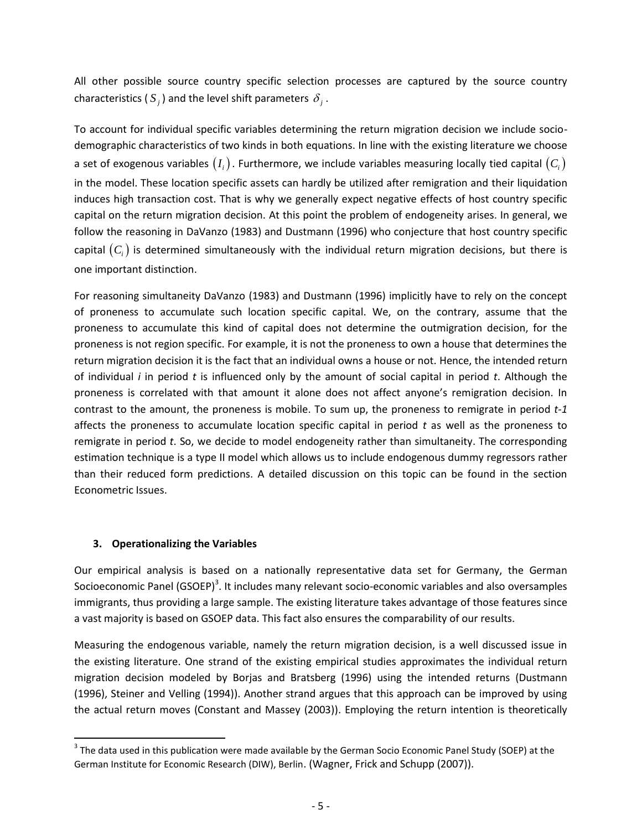All other possible source country specific selection processes are captured by the source country characteristics ( $S_j$ ) and the level shift parameters  $\delta_j$ .

To account for individual specific variables determining the return migration decision we include sociodemographic characteristics of two kinds in both equations. In line with the existing literature we choose a set of exogenous variables  $(I_i)$ . Furthermore, we include variables measuring locally tied capital  $(C_i)$ in the model. These location specific assets can hardly be utilized after remigration and their liquidation induces high transaction cost. That is why we generally expect negative effects of host country specific capital on the return migration decision. At this point the problem of endogeneity arises. In general, we follow the reasoning in DaVanzo (1983) and Dustmann (1996) who conjecture that host country specific capital  $(C_i)$  is determined simultaneously with the individual return migration decisions, but there is one important distinction.

For reasoning simultaneity DaVanzo (1983) and Dustmann (1996) implicitly have to rely on the concept of proneness to accumulate such location specific capital. We, on the contrary, assume that the proneness to accumulate this kind of capital does not determine the outmigration decision, for the proneness is not region specific. For example, it is not the proneness to own a house that determines the return migration decision it is the fact that an individual owns a house or not. Hence, the intended return of individual *i* in period *t* is influenced only by the amount of social capital in period *t*. Although the proneness is correlated with that amount it alone does not affect anyone's remigration decision. In contrast to the amount, the proneness is mobile. To sum up, the proneness to remigrate in period *t-1*  affects the proneness to accumulate location specific capital in period *t* as well as the proneness to remigrate in period *t*. So, we decide to model endogeneity rather than simultaneity. The corresponding estimation technique is a type II model which allows us to include endogenous dummy regressors rather than their reduced form predictions. A detailed discussion on this topic can be found in the section Econometric Issues.

## **3. Operationalizing the Variables**

 $\overline{a}$ 

Our empirical analysis is based on a nationally representative data set for Germany, the German Socioeconomic Panel (GSOEP)<sup>3</sup>. It includes many relevant socio-economic variables and also oversamples immigrants, thus providing a large sample. The existing literature takes advantage of those features since a vast majority is based on GSOEP data. This fact also ensures the comparability of our results.

Measuring the endogenous variable, namely the return migration decision, is a well discussed issue in the existing literature. One strand of the existing empirical studies approximates the individual return migration decision modeled by Borjas and Bratsberg (1996) using the intended returns (Dustmann (1996), Steiner and Velling (1994)). Another strand argues that this approach can be improved by using the actual return moves (Constant and Massey (2003)). Employing the return intention is theoretically

 $3$  The data used in this publication were made available by the German Socio Economic Panel Study (SOEP) at the German Institute for Economic Research (DIW), Berlin. (Wagner, Frick and Schupp (2007)).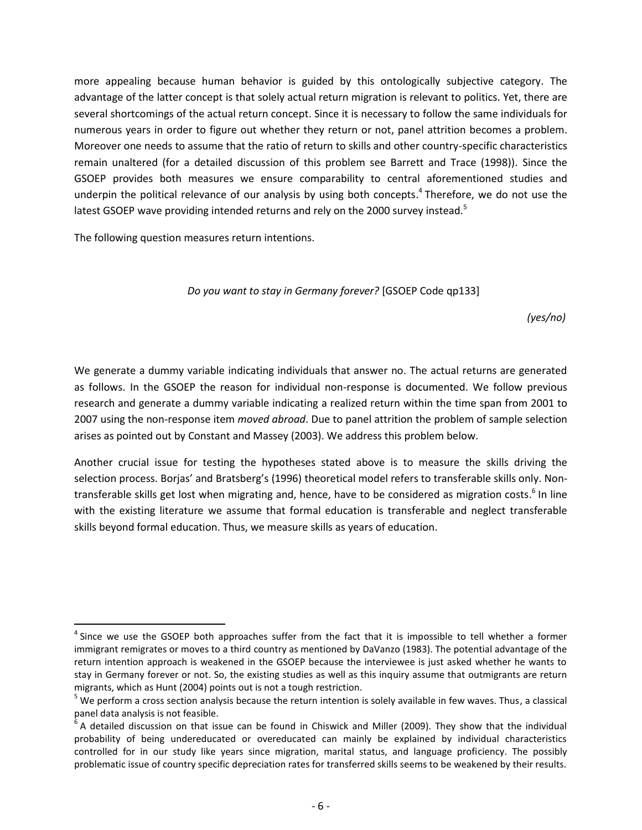more appealing because human behavior is guided by this ontologically subjective category. The advantage of the latter concept is that solely actual return migration is relevant to politics. Yet, there are several shortcomings of the actual return concept. Since it is necessary to follow the same individuals for numerous years in order to figure out whether they return or not, panel attrition becomes a problem. Moreover one needs to assume that the ratio of return to skills and other country-specific characteristics remain unaltered (for a detailed discussion of this problem see Barrett and Trace (1998)). Since the GSOEP provides both measures we ensure comparability to central aforementioned studies and underpin the political relevance of our analysis by using both concepts.<sup>4</sup> Therefore, we do not use the latest GSOEP wave providing intended returns and rely on the 2000 survey instead.<sup>5</sup>

The following question measures return intentions.

 $\ddot{\phantom{a}}$ 

#### *Do you want to stay in Germany forever?* [GSOEP Code qp133]

*(yes/no)*

We generate a dummy variable indicating individuals that answer no. The actual returns are generated as follows. In the GSOEP the reason for individual non-response is documented. We follow previous research and generate a dummy variable indicating a realized return within the time span from 2001 to 2007 using the non-response item *moved abroad*. Due to panel attrition the problem of sample selection arises as pointed out by Constant and Massey (2003). We address this problem below.

Another crucial issue for testing the hypotheses stated above is to measure the skills driving the selection process. Borjas' and Bratsberg's (1996) theoretical model refers to transferable skills only. Nontransferable skills get lost when migrating and, hence, have to be considered as migration costs.<sup>6</sup> In line with the existing literature we assume that formal education is transferable and neglect transferable skills beyond formal education. Thus, we measure skills as years of education.

<sup>&</sup>lt;sup>4</sup> Since we use the GSOEP both approaches suffer from the fact that it is impossible to tell whether a former immigrant remigrates or moves to a third country as mentioned by DaVanzo (1983). The potential advantage of the return intention approach is weakened in the GSOEP because the interviewee is just asked whether he wants to stay in Germany forever or not. So, the existing studies as well as this inquiry assume that outmigrants are return migrants, which as Hunt (2004) points out is not a tough restriction.

 $^5$  We perform a cross section analysis because the return intention is solely available in few waves. Thus, a classical panel data analysis is not feasible.

 ${}^6$  A detailed discussion on that issue can be found in Chiswick and Miller (2009). They show that the individual probability of being undereducated or overeducated can mainly be explained by individual characteristics controlled for in our study like years since migration, marital status, and language proficiency. The possibly problematic issue of country specific depreciation rates for transferred skills seems to be weakened by their results.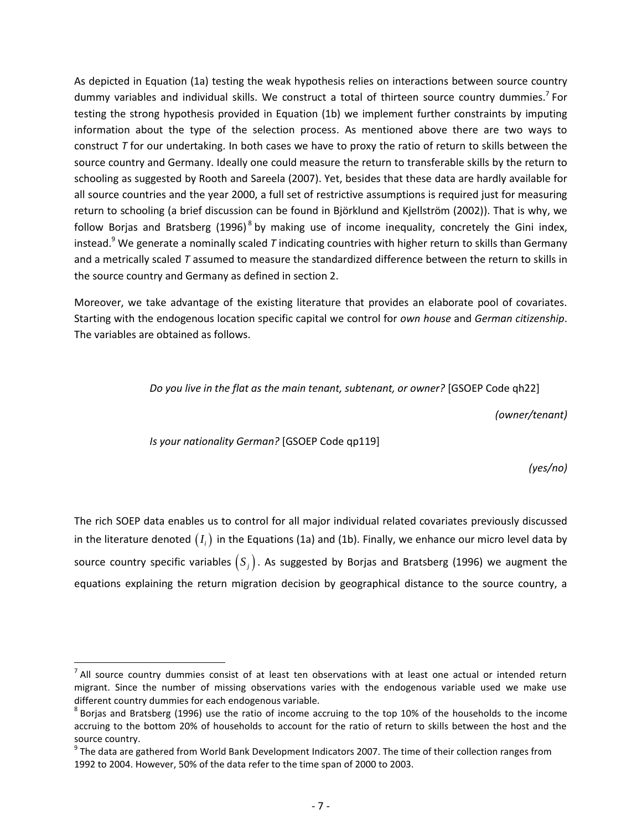As depicted in Equation (1a) testing the weak hypothesis relies on interactions between source country dummy variables and individual skills. We construct a total of thirteen source country dummies.<sup>7</sup> For testing the strong hypothesis provided in Equation (1b) we implement further constraints by imputing information about the type of the selection process. As mentioned above there are two ways to construct *T* for our undertaking. In both cases we have to proxy the ratio of return to skills between the source country and Germany. Ideally one could measure the return to transferable skills by the return to schooling as suggested by Rooth and Sareela (2007). Yet, besides that these data are hardly available for all source countries and the year 2000, a full set of restrictive assumptions is required just for measuring return to schooling (a brief discussion can be found in Björklund and Kjellström (2002)). That is why, we follow Borjas and Bratsberg (1996)<sup>8</sup> by making use of income inequality, concretely the Gini index, instead. <sup>9</sup> We generate a nominally scaled *T* indicating countries with higher return to skills than Germany and a metrically scaled *T* assumed to measure the standardized difference between the return to skills in the source country and Germany as defined in section 2.

Moreover, we take advantage of the existing literature that provides an elaborate pool of covariates. Starting with the endogenous location specific capital we control for *own house* and *German citizenship*. The variables are obtained as follows.

*Do you live in the flat as the main tenant, subtenant, or owner?* [GSOEP Code qh22]

*(owner/tenant)*

*Is your nationality German?* [GSOEP Code qp119]

 $\overline{a}$ 

*(yes/no)*

The rich SOEP data enables us to control for all major individual related covariates previously discussed in the literature denoted  $(I_i)$  in the Equations (1a) and (1b). Finally, we enhance our micro level data by source country specific variables  $(S_j)$ . As suggested by Borjas and Bratsberg (1996) we augment the equations explaining the return migration decision by geographical distance to the source country, a

 $<sup>7</sup>$  All source country dummies consist of at least ten observations with at least one actual or intended return</sup> migrant. Since the number of missing observations varies with the endogenous variable used we make use different country dummies for each endogenous variable.

 $^8$  Borjas and Bratsberg (1996) use the ratio of income accruing to the top 10% of the households to the income accruing to the bottom 20% of households to account for the ratio of return to skills between the host and the source country.

 $^9$  The data are gathered from World Bank Development Indicators 2007. The time of their collection ranges from 1992 to 2004. However, 50% of the data refer to the time span of 2000 to 2003.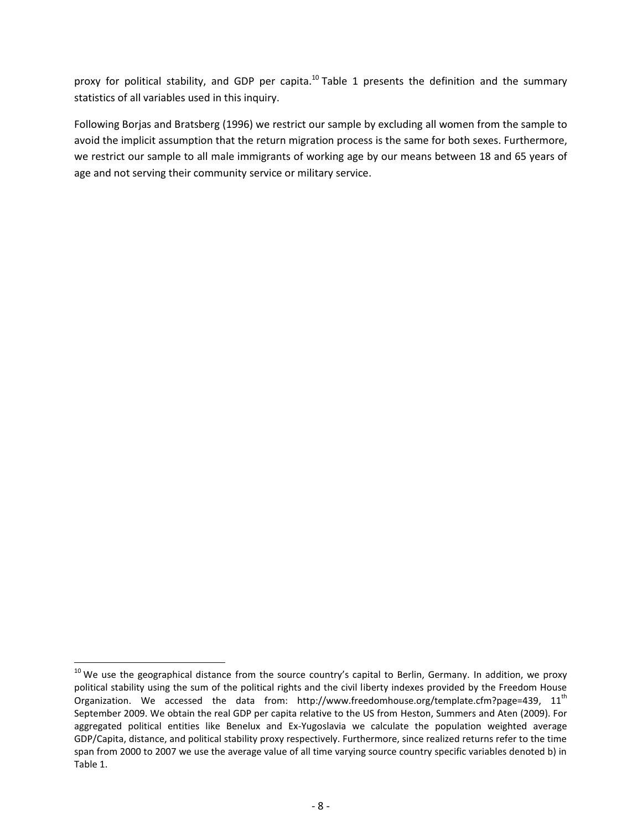proxy for political stability, and GDP per capita.<sup>10</sup> Table 1 presents the definition and the summary statistics of all variables used in this inquiry.

Following Borjas and Bratsberg (1996) we restrict our sample by excluding all women from the sample to avoid the implicit assumption that the return migration process is the same for both sexes. Furthermore, we restrict our sample to all male immigrants of working age by our means between 18 and 65 years of age and not serving their community service or military service.

 $\overline{a}$ 

 $10$  We use the geographical distance from the source country's capital to Berlin, Germany. In addition, we proxy political stability using the sum of the political rights and the civil liberty indexes provided by the Freedom House Organization. We accessed the data from: http://www.freedomhouse.org/template.cfm?page=439,  $11<sup>th</sup>$ September 2009. We obtain the real GDP per capita relative to the US from Heston, Summers and Aten (2009). For aggregated political entities like Benelux and Ex-Yugoslavia we calculate the population weighted average GDP/Capita, distance, and political stability proxy respectively. Furthermore, since realized returns refer to the time span from 2000 to 2007 we use the average value of all time varying source country specific variables denoted b) in Table 1.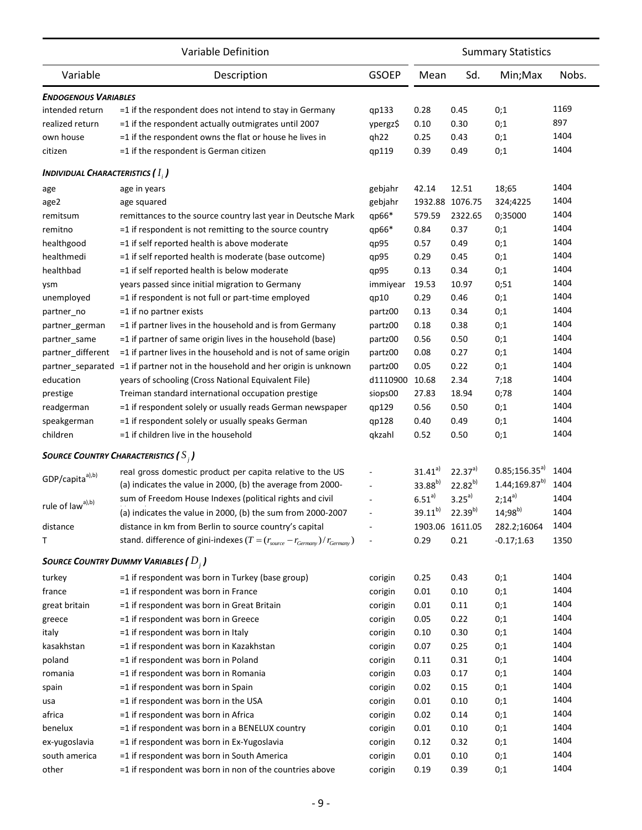|                                        | Variable Definition                                                                                                                        |                          | <b>Summary Statistics</b> |                         |                             |              |  |
|----------------------------------------|--------------------------------------------------------------------------------------------------------------------------------------------|--------------------------|---------------------------|-------------------------|-----------------------------|--------------|--|
| Variable                               | Description                                                                                                                                | <b>GSOEP</b>             | Mean                      | Sd.                     | Min; Max                    | Nobs.        |  |
| <b>ENDOGENOUS VARIABLES</b>            |                                                                                                                                            |                          |                           |                         |                             |              |  |
| intended return                        | $=$ 1 if the respondent does not intend to stay in Germany                                                                                 | qp133                    | 0.28                      | 0.45                    | 0;1                         | 1169         |  |
| realized return                        | =1 if the respondent actually outmigrates until 2007                                                                                       | ypergz\$                 | 0.10                      | 0.30                    | 0;1                         | 897          |  |
| own house                              | =1 if the respondent owns the flat or house he lives in                                                                                    | qh22                     | 0.25                      | 0.43                    | 0;1                         | 1404         |  |
| citizen                                | =1 if the respondent is German citizen                                                                                                     | qp119                    | 0.39                      | 0.49                    | 0;1                         | 1404         |  |
| <b>INDIVIDUAL CHARACTERISTICS (1,)</b> |                                                                                                                                            |                          |                           |                         |                             |              |  |
| age                                    | age in years                                                                                                                               | gebjahr                  | 42.14                     | 12.51                   | 18;65                       | 1404         |  |
| age2                                   | age squared                                                                                                                                | gebjahr                  |                           | 1932.88 1076.75         | 324;4225                    | 1404         |  |
| remitsum                               | remittances to the source country last year in Deutsche Mark                                                                               | qp66*                    | 579.59                    | 2322.65                 | 0;35000                     | 1404         |  |
| remitno                                | =1 if respondent is not remitting to the source country                                                                                    | qp66*                    | 0.84                      | 0.37                    | 0;1                         | 1404         |  |
| healthgood                             | =1 if self reported health is above moderate                                                                                               | qp95                     | 0.57                      | 0.49                    | 0;1                         | 1404         |  |
| healthmedi                             | =1 if self reported health is moderate (base outcome)                                                                                      | qp95                     | 0.29                      | 0.45                    | 0;1                         | 1404         |  |
| healthbad                              | =1 if self reported health is below moderate                                                                                               | qp95                     | 0.13                      | 0.34                    | 0;1                         | 1404         |  |
| ysm                                    | years passed since initial migration to Germany                                                                                            | immiyear                 | 19.53                     | 10.97                   | 0;51                        | 1404         |  |
| unemployed                             | =1 if respondent is not full or part-time employed                                                                                         | qp10                     | 0.29                      | 0.46                    | 0;1                         | 1404         |  |
| partner no                             | =1 if no partner exists                                                                                                                    | partz00                  | 0.13                      | 0.34                    | 0;1                         | 1404         |  |
| partner_german                         | =1 if partner lives in the household and is from Germany                                                                                   | partz00                  | 0.18                      | 0.38                    | 0;1                         | 1404         |  |
| partner same                           | =1 if partner of same origin lives in the household (base)                                                                                 | partz00                  | 0.56                      | 0.50                    | 0;1                         | 1404         |  |
| partner_different                      | =1 if partner lives in the household and is not of same origin                                                                             | partz00                  | 0.08                      | 0.27                    | 0;1                         | 1404         |  |
| partner separated                      | =1 if partner not in the household and her origin is unknown                                                                               | partz00                  | 0.05                      | 0.22                    | 0;1                         | 1404         |  |
| education                              | years of schooling (Cross National Equivalent File)                                                                                        | d1110900                 | 10.68                     | 2.34                    | 7;18                        | 1404         |  |
|                                        |                                                                                                                                            |                          | 27.83                     | 18.94                   |                             | 1404         |  |
| prestige                               | Treiman standard international occupation prestige                                                                                         | siops00                  |                           |                         | 0;78                        | 1404         |  |
| readgerman                             | =1 if respondent solely or usually reads German newspaper                                                                                  | qp129                    | 0.56                      | 0.50                    | 0;1                         | 1404         |  |
| speakgerman<br>children                | =1 if respondent solely or usually speaks German<br>=1 if children live in the household                                                   | qp128<br>qkzahl          | 0.40<br>0.52              | 0.49<br>0.50            | 0;1<br>0;1                  | 1404         |  |
|                                        |                                                                                                                                            |                          |                           |                         |                             |              |  |
|                                        | <b>SOURCE COUNTRY CHARACTERISTICS (S<sub>i</sub>)</b>                                                                                      |                          | $31.41^{a}$               | $22.37^{a}$             | $0.85;156.35^{a}$           | 1404         |  |
| GDP/capita <sup>a),b)</sup>            | real gross domestic product per capita relative to the US                                                                                  |                          | 33.88b)                   | $22.82^{b}$             | $1.44; 169.87^{b}$          | 1404         |  |
|                                        | (a) indicates the value in 2000, (b) the average from 2000-                                                                                |                          |                           |                         |                             |              |  |
| rule of $law^{a),b)}$                  | sum of Freedom House Indexes (political rights and civil                                                                                   |                          | $6.51^{a}$                | $3.25^{a}$              | $2;14^{a}$                  | 1404         |  |
|                                        | (a) indicates the value in 2000, (b) the sum from 2000-2007                                                                                |                          | $39.11^{b}$               | $22.39^{b}$             | $14;98^{b}$                 | 1404         |  |
| distance<br>т                          | distance in km from Berlin to source country's capital<br>stand. difference of gini-indexes $(T = (r_{source} - r_{Germany})/r_{Germany})$ | $\overline{\phantom{a}}$ | 0.29                      | 1903.06 1611.05<br>0.21 | 282.2;16064<br>$-0.17;1.63$ | 1404<br>1350 |  |
|                                        |                                                                                                                                            |                          |                           |                         |                             |              |  |
|                                        | SOURCE COUNTRY DUMMY VARIABLES ( $D_i$ )                                                                                                   |                          |                           |                         |                             |              |  |
| turkey                                 | =1 if respondent was born in Turkey (base group)                                                                                           | corigin                  | 0.25                      | 0.43                    | 0;1                         | 1404         |  |
| france                                 | =1 if respondent was born in France                                                                                                        | corigin                  | 0.01                      | 0.10                    | 0;1                         | 1404         |  |
| great britain                          | =1 if respondent was born in Great Britain                                                                                                 | corigin                  | 0.01                      | 0.11                    | 0;1                         | 1404         |  |
| greece                                 | =1 if respondent was born in Greece                                                                                                        | corigin                  | 0.05                      | 0.22                    | 0;1                         | 1404         |  |
| italy                                  | =1 if respondent was born in Italy                                                                                                         | corigin                  | 0.10                      | 0.30                    | 0;1                         | 1404         |  |
| kasakhstan                             | =1 if respondent was born in Kazakhstan                                                                                                    | corigin                  | 0.07                      | 0.25                    | 0;1                         | 1404         |  |
| poland                                 | =1 if respondent was born in Poland                                                                                                        | corigin                  | 0.11                      | 0.31                    | 0;1                         | 1404         |  |
| romania                                | =1 if respondent was born in Romania                                                                                                       | corigin                  | 0.03                      | 0.17                    | 0;1                         | 1404         |  |
| spain                                  | =1 if respondent was born in Spain                                                                                                         | corigin                  | 0.02                      | 0.15                    | 0;1                         | 1404         |  |
| usa                                    | =1 if respondent was born in the USA                                                                                                       | corigin                  | 0.01                      | 0.10                    | 0;1                         | 1404         |  |
| africa                                 | =1 if respondent was born in Africa                                                                                                        | corigin                  | 0.02                      | 0.14                    | 0;1                         | 1404         |  |
| benelux                                | =1 if respondent was born in a BENELUX country                                                                                             | corigin                  | 0.01                      | 0.10                    | 0;1                         | 1404         |  |
| ex-yugoslavia                          | =1 if respondent was born in Ex-Yugoslavia                                                                                                 | corigin                  | 0.12                      | 0.32                    | 0;1                         | 1404         |  |
| south america                          | =1 if respondent was born in South America                                                                                                 | corigin                  | 0.01                      | 0.10                    | 0;1                         | 1404         |  |
| other                                  | =1 if respondent was born in non of the countries above                                                                                    | corigin                  | 0.19                      | 0.39                    | 0;1                         | 1404         |  |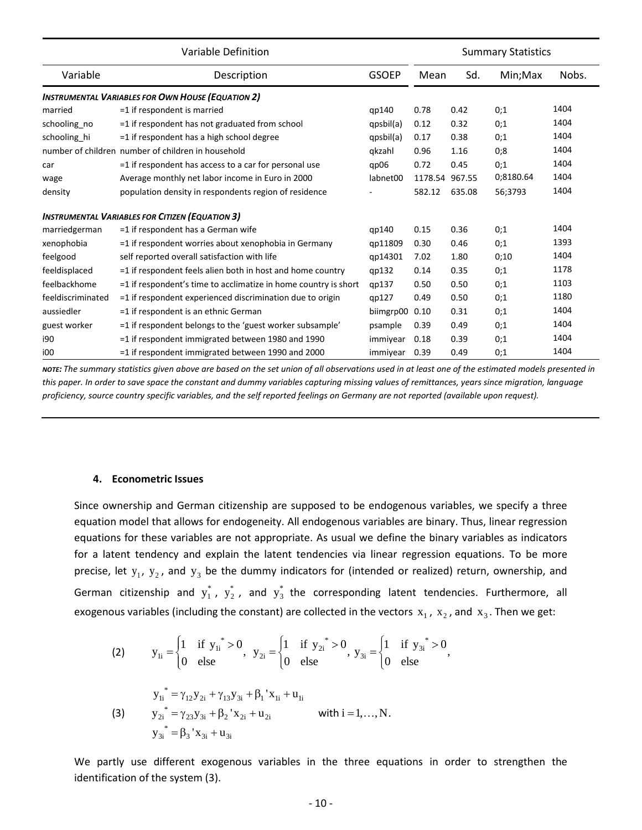|                   | Variable Definition                                             |                |                |        | <b>Summary Statistics</b> |       |
|-------------------|-----------------------------------------------------------------|----------------|----------------|--------|---------------------------|-------|
| Variable          | Description<br><b>GSOEP</b>                                     |                | Mean           | Sd.    | Min; Max                  | Nobs. |
|                   | <b>INSTRUMENTAL VARIABLES FOR OWN HOUSE (EQUATION 2)</b>        |                |                |        |                           |       |
| married           | $=1$ if respondent is married                                   | qp140          | 0.78           | 0.42   | 0;1                       | 1404  |
| schooling_no      | =1 if respondent has not graduated from school                  | qpsbil(a)      | 0.12           | 0.32   | 0;1                       | 1404  |
| schooling_hi      | =1 if respondent has a high school degree                       | qpsbil(a)      | 0.17           | 0.38   | 0:1                       | 1404  |
|                   | number of children number of children in household              | gkzahl         | 0.96           | 1.16   | 0;8                       | 1404  |
| car               | =1 if respondent has access to a car for personal use           | qp06           | 0.72           | 0.45   | 0;1                       | 1404  |
| wage              | Average monthly net labor income in Euro in 2000                | labnet00       | 1178.54 967.55 |        | 0;8180.64                 | 1404  |
| density           | population density in respondents region of residence           |                | 582.12         | 635.08 | 56;3793                   | 1404  |
|                   | <b>INSTRUMENTAL VARIABLES FOR CITIZEN (EQUATION 3)</b>          |                |                |        |                           |       |
| marriedgerman     | =1 if respondent has a German wife                              | qp140          | 0.15           | 0.36   | 0;1                       | 1404  |
| xenophobia        | =1 if respondent worries about xenophobia in Germany            | qp11809        | 0.30           | 0.46   | 0;1                       | 1393  |
| feelgood          | self reported overall satisfaction with life                    | qp14301        | 7.02           | 1.80   | 0;10                      | 1404  |
| feeldisplaced     | $=$ 1 if respondent feels alien both in host and home country   | qp132          | 0.14           | 0.35   | 0;1                       | 1178  |
| feelbackhome      | =1 if respondent's time to acclimatize in home country is short | qp137          | 0.50           | 0.50   | 0;1                       | 1103  |
| feeldiscriminated | =1 if respondent experienced discrimination due to origin       | qp127          | 0.49           | 0.50   | 0;1                       | 1180  |
| aussiedler        | =1 if respondent is an ethnic German                            | biimgrp00 0.10 |                | 0.31   | 0;1                       | 1404  |
| guest worker      | =1 if respondent belongs to the 'guest worker subsample'        | psample        | 0.39           | 0.49   | 0;1                       | 1404  |
| i90               | =1 if respondent immigrated between 1980 and 1990               | immiyear       | 0.18           | 0.39   | 0;1                       | 1404  |
| i00               | =1 if respondent immigrated between 1990 and 2000               | immiyear       | 0.39           | 0.49   | 0:1                       | 1404  |

*NOTE: The summary statistics given above are based on the set union of all observations used in at least one of the estimated models presented in this paper. In order to save space the constant and dummy variables capturing missing values of remittances, years since migration, language proficiency, source country specific variables, and the self reported feelings on Germany are not reported (available upon request).*

#### **4. Econometric Issues**

Since ownership and German citizenship are supposed to be endogenous variables, we specify a three equation model that allows for endogeneity. All endogenous variables are binary. Thus, linear regression equations for these variables are not appropriate. As usual we define the binary variables as indicators for a latent tendency and explain the latent tendencies via linear regression equations. To be more precise, let  $y_1$ ,  $y_2$ , and  $y_3$  be the dummy indicators for (intended or realized) return, ownership, and German citizenship and  $y_1^*$ ,  $y_2^*$ , and  $y_3^*$  the corresponding latent tendencies. Furthermore, all

exogenous variables (including the constant) are collected in the vectors 
$$
x_1
$$
,  $x_2$ , and  $x_3$ . Then we get:  
\n(2)  $y_{1i} =\begin{cases} 1 & \text{if } y_{1i}^* > 0 \\ 0 & \text{else} \end{cases}$ ,  $y_{2i} =\begin{cases} 1 & \text{if } y_{2i}^* > 0 \\ 0 & \text{else} \end{cases}$ ,  $y_{3i} =\begin{cases} 1 & \text{if } y_{3i}^* > 0 \\ 0 & \text{else} \end{cases}$ ,

(3) 
$$
y_{1i}^* = \gamma_{12}y_{2i} + \gamma_{13}y_{3i} + \beta_1 x_{1i} + u_{1i}
$$

$$
y_{2i}^* = \gamma_{23}y_{3i} + \beta_2 x_{2i} + u_{2i}
$$
 with  $i = 1,..., N$ .  
\n
$$
y_{3i}^* = \beta_3 x_{3i} + u_{3i}
$$

We partly use different exogenous variables in the three equations in order to strengthen the identification of the system (3).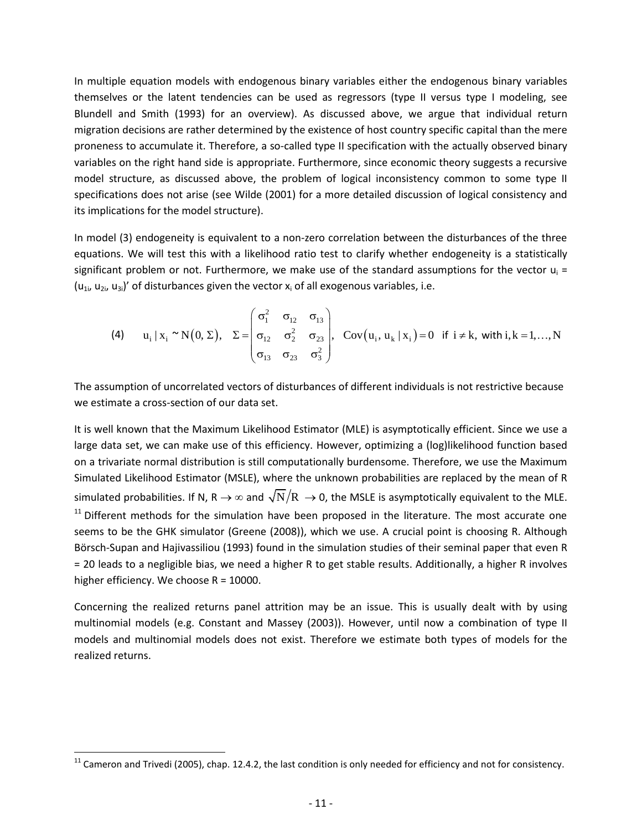In multiple equation models with endogenous binary variables either the endogenous binary variables themselves or the latent tendencies can be used as regressors (type II versus type I modeling, see Blundell and Smith (1993) for an overview). As discussed above, we argue that individual return migration decisions are rather determined by the existence of host country specific capital than the mere proneness to accumulate it. Therefore, a so-called type II specification with the actually observed binary variables on the right hand side is appropriate. Furthermore, since economic theory suggests a recursive model structure, as discussed above, the problem of logical inconsistency common to some type II specifications does not arise (see Wilde (2001) for a more detailed discussion of logical consistency and its implications for the model structure).

In model (3) endogeneity is equivalent to a non-zero correlation between the disturbances of the three equations. We will test this with a likelihood ratio test to clarify whether endogeneity is a statistically significant problem or not. Furthermore, we make use of the standard assumptions for the vector  $u_i =$  $(u_{1i}, u_{2i}, u_{3i})'$  of disturbances given the vector  $x_i$  of all exogenous variables, i.e.

ant problem or not. Furthermore, we make use of the standard assumptions for the vector 
$$
u_i = (u_{3i})'
$$
 of disturbances given the vector  $x_i$  of all exogenous variables, i.e.

\n(4)  $u_i \mid x_i \sim N(0, \Sigma), \Sigma = \begin{pmatrix} \sigma_i^2 & \sigma_{12} & \sigma_{13} \\ \sigma_{12} & \sigma_2^2 & \sigma_{23} \\ \sigma_{13} & \sigma_{23} & \sigma_3^2 \end{pmatrix}, \text{ Cov}(u_i, u_k \mid x_i) = 0 \text{ if } i \neq k, \text{ with } i, k = 1, \ldots, N$ 

The assumption of uncorrelated vectors of disturbances of different individuals is not restrictive because we estimate a cross-section of our data set.

It is well known that the Maximum Likelihood Estimator (MLE) is asymptotically efficient. Since we use a large data set, we can make use of this efficiency. However, optimizing a (log)likelihood function based on a trivariate normal distribution is still computationally burdensome. Therefore, we use the Maximum Simulated Likelihood Estimator (MSLE), where the unknown probabilities are replaced by the mean of R simulated probabilities. If N, R  $\to$   $\infty$  and  $\sqrt{\rm N/R}\,\to$  0, the MSLE is asymptotically equivalent to the MLE.  $11$  Different methods for the simulation have been proposed in the literature. The most accurate one seems to be the GHK simulator (Greene (2008)), which we use. A crucial point is choosing R. Although Börsch-Supan and Hajivassiliou (1993) found in the simulation studies of their seminal paper that even R = 20 leads to a negligible bias, we need a higher R to get stable results. Additionally, a higher R involves higher efficiency. We choose  $R = 10000$ .

Concerning the realized returns panel attrition may be an issue. This is usually dealt with by using multinomial models (e.g. Constant and Massey (2003)). However, until now a combination of type II models and multinomial models does not exist. Therefore we estimate both types of models for the realized returns.

 $\overline{a}$ 

 $^{11}$  Cameron and Trivedi (2005), chap. 12.4.2, the last condition is only needed for efficiency and not for consistency.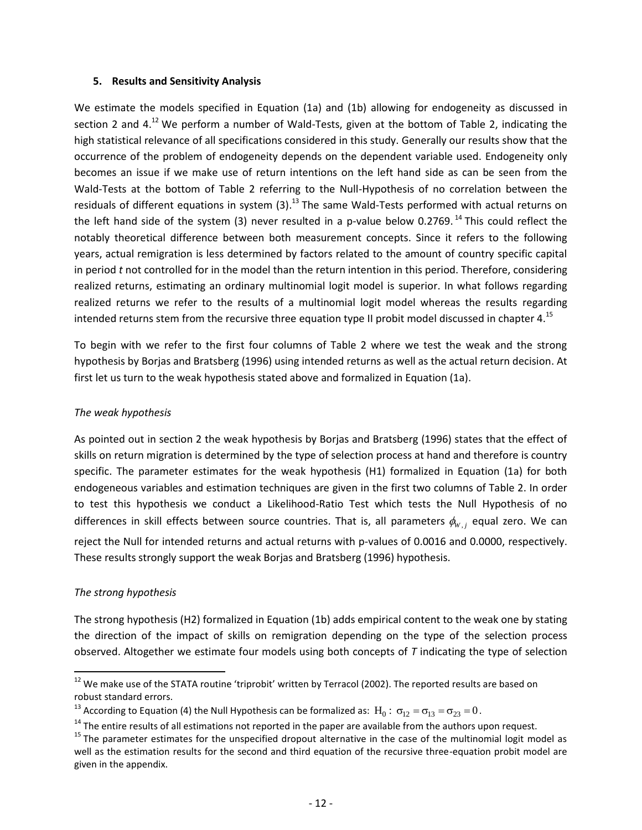#### **5. Results and Sensitivity Analysis**

We estimate the models specified in Equation (1a) and (1b) allowing for endogeneity as discussed in section 2 and 4.<sup>12</sup> We perform a number of Wald-Tests, given at the bottom of Table 2, indicating the high statistical relevance of all specifications considered in this study. Generally our results show that the occurrence of the problem of endogeneity depends on the dependent variable used. Endogeneity only becomes an issue if we make use of return intentions on the left hand side as can be seen from the Wald-Tests at the bottom of Table 2 referring to the Null-Hypothesis of no correlation between the residuals of different equations in system (3).<sup>13</sup> The same Wald-Tests performed with actual returns on the left hand side of the system (3) never resulted in a p-value below 0.2769.<sup>14</sup> This could reflect the notably theoretical difference between both measurement concepts. Since it refers to the following years, actual remigration is less determined by factors related to the amount of country specific capital in period *t* not controlled for in the model than the return intention in this period. Therefore, considering realized returns, estimating an ordinary multinomial logit model is superior. In what follows regarding realized returns we refer to the results of a multinomial logit model whereas the results regarding intended returns stem from the recursive three equation type II probit model discussed in chapter 4.<sup>15</sup>

To begin with we refer to the first four columns of Table 2 where we test the weak and the strong hypothesis by Borjas and Bratsberg (1996) using intended returns as well as the actual return decision. At first let us turn to the weak hypothesis stated above and formalized in Equation (1a).

#### *The weak hypothesis*

As pointed out in section 2 the weak hypothesis by Borjas and Bratsberg (1996) states that the effect of skills on return migration is determined by the type of selection process at hand and therefore is country specific. The parameter estimates for the weak hypothesis (H1) formalized in Equation (1a) for both endogeneous variables and estimation techniques are given in the first two columns of Table 2. In order to test this hypothesis we conduct a Likelihood-Ratio Test which tests the Null Hypothesis of no differences in skill effects between source countries. That is, all parameters  $\phi_{w,j}$  equal zero. We can reject the Null for intended returns and actual returns with p-values of 0.0016 and 0.0000, respectively. These results strongly support the weak Borjas and Bratsberg (1996) hypothesis.

#### *The strong hypothesis*

 $\ddot{\phantom{a}}$ 

The strong hypothesis (H2) formalized in Equation (1b) adds empirical content to the weak one by stating the direction of the impact of skills on remigration depending on the type of the selection process observed. Altogether we estimate four models using both concepts of *T* indicating the type of selection

 $12$  We make use of the STATA routine 'triprobit' written by Terracol (2002). The reported results are based on robust standard errors.

<sup>&</sup>lt;sup>13</sup> According to Equation (4) the Null Hypothesis can be formalized as:  $\rm H_{0}$  :  $\rm \sigma_{12}=\sigma_{13}=\sigma_{23}=0$ .

 $14$  The entire results of all estimations not reported in the paper are available from the authors upon request.

 $15$  The parameter estimates for the unspecified dropout alternative in the case of the multinomial logit model as well as the estimation results for the second and third equation of the recursive three-equation probit model are given in the appendix.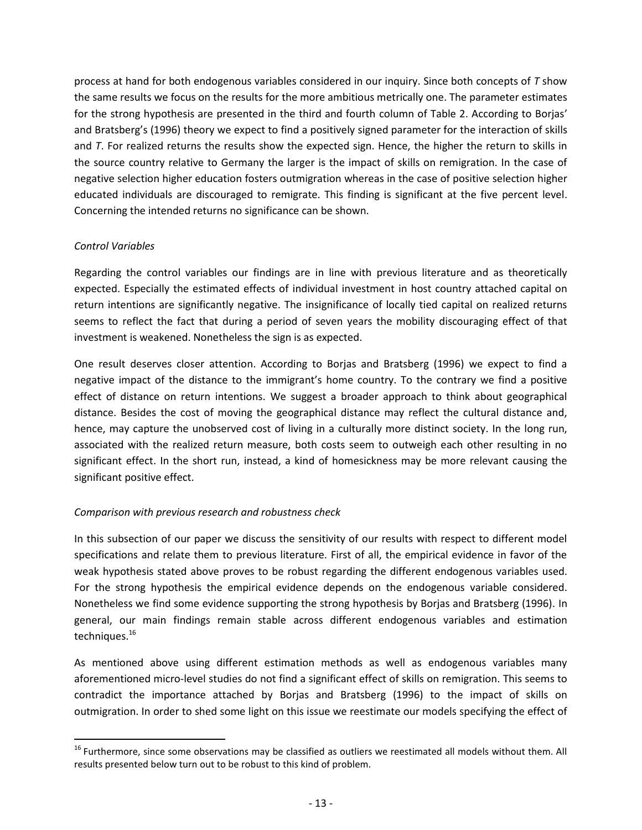process at hand for both endogenous variables considered in our inquiry. Since both concepts of *T* show the same results we focus on the results for the more ambitious metrically one. The parameter estimates for the strong hypothesis are presented in the third and fourth column of Table 2. According to Borjas' and Bratsberg's (1996) theory we expect to find a positively signed parameter for the interaction of skills and *T*. For realized returns the results show the expected sign. Hence, the higher the return to skills in the source country relative to Germany the larger is the impact of skills on remigration. In the case of negative selection higher education fosters outmigration whereas in the case of positive selection higher educated individuals are discouraged to remigrate. This finding is significant at the five percent level. Concerning the intended returns no significance can be shown.

#### *Control Variables*

 $\ddot{\phantom{a}}$ 

Regarding the control variables our findings are in line with previous literature and as theoretically expected. Especially the estimated effects of individual investment in host country attached capital on return intentions are significantly negative. The insignificance of locally tied capital on realized returns seems to reflect the fact that during a period of seven years the mobility discouraging effect of that investment is weakened. Nonetheless the sign is as expected.

One result deserves closer attention. According to Borjas and Bratsberg (1996) we expect to find a negative impact of the distance to the immigrant's home country. To the contrary we find a positive effect of distance on return intentions. We suggest a broader approach to think about geographical distance. Besides the cost of moving the geographical distance may reflect the cultural distance and, hence, may capture the unobserved cost of living in a culturally more distinct society. In the long run, associated with the realized return measure, both costs seem to outweigh each other resulting in no significant effect. In the short run, instead, a kind of homesickness may be more relevant causing the significant positive effect.

## *Comparison with previous research and robustness check*

In this subsection of our paper we discuss the sensitivity of our results with respect to different model specifications and relate them to previous literature. First of all, the empirical evidence in favor of the weak hypothesis stated above proves to be robust regarding the different endogenous variables used. For the strong hypothesis the empirical evidence depends on the endogenous variable considered. Nonetheless we find some evidence supporting the strong hypothesis by Borjas and Bratsberg (1996). In general, our main findings remain stable across different endogenous variables and estimation techniques.<sup>16</sup>

As mentioned above using different estimation methods as well as endogenous variables many aforementioned micro-level studies do not find a significant effect of skills on remigration. This seems to contradict the importance attached by Borjas and Bratsberg (1996) to the impact of skills on outmigration. In order to shed some light on this issue we reestimate our models specifying the effect of

<sup>&</sup>lt;sup>16</sup> Furthermore, since some observations may be classified as outliers we reestimated all models without them. All results presented below turn out to be robust to this kind of problem.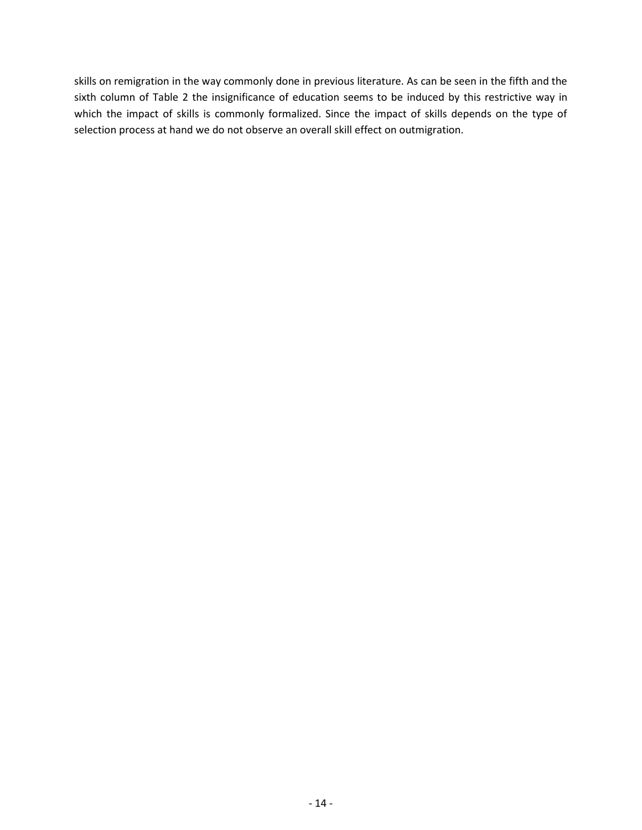skills on remigration in the way commonly done in previous literature. As can be seen in the fifth and the sixth column of Table 2 the insignificance of education seems to be induced by this restrictive way in which the impact of skills is commonly formalized. Since the impact of skills depends on the type of selection process at hand we do not observe an overall skill effect on outmigration.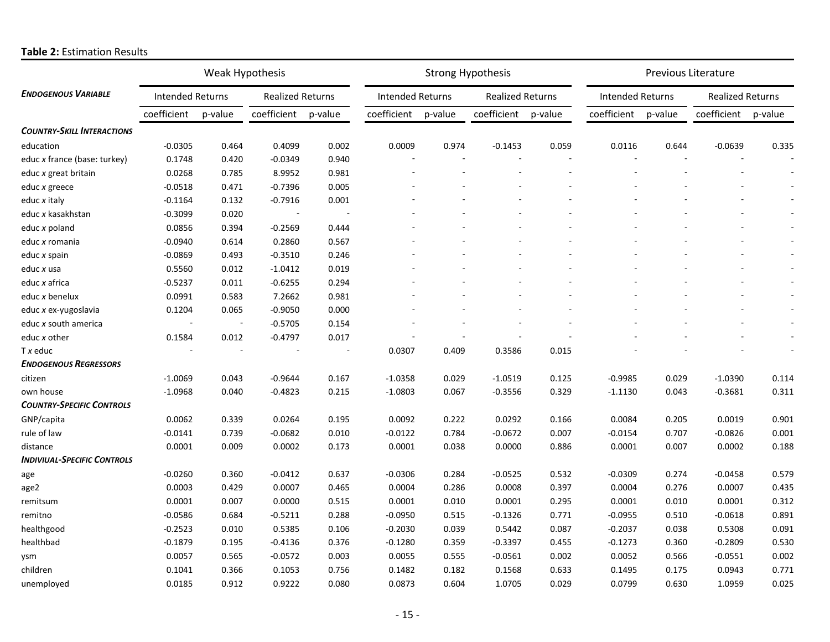|                                    | Weak Hypothesis         |                          |                         | <b>Strong Hypothesis</b> |                         |         |                         | <b>Previous Literature</b> |                         |         |                         |         |
|------------------------------------|-------------------------|--------------------------|-------------------------|--------------------------|-------------------------|---------|-------------------------|----------------------------|-------------------------|---------|-------------------------|---------|
| <b>ENDOGENOUS VARIABLE</b>         | <b>Intended Returns</b> |                          | <b>Realized Returns</b> |                          | <b>Intended Returns</b> |         | <b>Realized Returns</b> |                            | <b>Intended Returns</b> |         | <b>Realized Returns</b> |         |
|                                    | coefficient             | p-value                  | coefficient             | p-value                  | coefficient             | p-value | coefficient             | p-value                    | coefficient             | p-value | coefficient             | p-value |
| <b>COUNTRY-SKILL INTERACTIONS</b>  |                         |                          |                         |                          |                         |         |                         |                            |                         |         |                         |         |
| education                          | $-0.0305$               | 0.464                    | 0.4099                  | 0.002                    | 0.0009                  | 0.974   | $-0.1453$               | 0.059                      | 0.0116                  | 0.644   | $-0.0639$               | 0.335   |
| educ x france (base: turkey)       | 0.1748                  | 0.420                    | $-0.0349$               | 0.940                    | ÷,                      |         |                         |                            |                         |         |                         |         |
| educ x great britain               | 0.0268                  | 0.785                    | 8.9952                  | 0.981                    |                         |         |                         |                            |                         |         |                         |         |
| educ x greece                      | $-0.0518$               | 0.471                    | $-0.7396$               | 0.005                    |                         |         |                         |                            |                         |         |                         |         |
| educ x italy                       | $-0.1164$               | 0.132                    | $-0.7916$               | 0.001                    |                         |         |                         |                            |                         |         |                         |         |
| educ x kasakhstan                  | $-0.3099$               | 0.020                    |                         |                          |                         |         |                         |                            |                         |         |                         |         |
| educ x poland                      | 0.0856                  | 0.394                    | $-0.2569$               | 0.444                    |                         |         |                         |                            |                         |         |                         |         |
| educ x romania                     | $-0.0940$               | 0.614                    | 0.2860                  | 0.567                    |                         |         |                         |                            |                         |         |                         |         |
| educ x spain                       | $-0.0869$               | 0.493                    | $-0.3510$               | 0.246                    |                         |         |                         |                            |                         |         |                         |         |
| educ x usa                         | 0.5560                  | 0.012                    | $-1.0412$               | 0.019                    |                         |         |                         |                            |                         |         |                         |         |
| educ x africa                      | $-0.5237$               | 0.011                    | $-0.6255$               | 0.294                    |                         |         |                         |                            |                         |         |                         |         |
| educ x benelux                     | 0.0991                  | 0.583                    | 7.2662                  | 0.981                    |                         |         |                         |                            |                         |         |                         |         |
| educ x ex-yugoslavia               | 0.1204                  | 0.065                    | $-0.9050$               | 0.000                    |                         |         |                         |                            |                         |         |                         |         |
| educ x south america               |                         | $\overline{\phantom{a}}$ | $-0.5705$               | 0.154                    |                         |         |                         |                            |                         |         |                         |         |
| educ x other                       | 0.1584                  | 0.012                    | $-0.4797$               | 0.017                    |                         | ÷.      |                         |                            |                         |         |                         |         |
| $Tx$ educ                          |                         | $\sim$                   |                         | $\sim$                   | 0.0307                  | 0.409   | 0.3586                  | 0.015                      |                         |         |                         |         |
| <b>ENDOGENOUS REGRESSORS</b>       |                         |                          |                         |                          |                         |         |                         |                            |                         |         |                         |         |
| citizen                            | $-1.0069$               | 0.043                    | $-0.9644$               | 0.167                    | $-1.0358$               | 0.029   | $-1.0519$               | 0.125                      | $-0.9985$               | 0.029   | $-1.0390$               | 0.114   |
| own house                          | $-1.0968$               | 0.040                    | $-0.4823$               | 0.215                    | $-1.0803$               | 0.067   | $-0.3556$               | 0.329                      | $-1.1130$               | 0.043   | $-0.3681$               | 0.311   |
| <b>COUNTRY-SPECIFIC CONTROLS</b>   |                         |                          |                         |                          |                         |         |                         |                            |                         |         |                         |         |
| GNP/capita                         | 0.0062                  | 0.339                    | 0.0264                  | 0.195                    | 0.0092                  | 0.222   | 0.0292                  | 0.166                      | 0.0084                  | 0.205   | 0.0019                  | 0.901   |
| rule of law                        | $-0.0141$               | 0.739                    | $-0.0682$               | 0.010                    | $-0.0122$               | 0.784   | $-0.0672$               | 0.007                      | $-0.0154$               | 0.707   | $-0.0826$               | 0.001   |
| distance                           | 0.0001                  | 0.009                    | 0.0002                  | 0.173                    | 0.0001                  | 0.038   | 0.0000                  | 0.886                      | 0.0001                  | 0.007   | 0.0002                  | 0.188   |
| <b>INDIVIUAL-SPECIFIC CONTROLS</b> |                         |                          |                         |                          |                         |         |                         |                            |                         |         |                         |         |
| age                                | $-0.0260$               | 0.360                    | $-0.0412$               | 0.637                    | $-0.0306$               | 0.284   | $-0.0525$               | 0.532                      | $-0.0309$               | 0.274   | $-0.0458$               | 0.579   |
| age2                               | 0.0003                  | 0.429                    | 0.0007                  | 0.465                    | 0.0004                  | 0.286   | 0.0008                  | 0.397                      | 0.0004                  | 0.276   | 0.0007                  | 0.435   |
| remitsum                           | 0.0001                  | 0.007                    | 0.0000                  | 0.515                    | 0.0001                  | 0.010   | 0.0001                  | 0.295                      | 0.0001                  | 0.010   | 0.0001                  | 0.312   |
| remitno                            | $-0.0586$               | 0.684                    | $-0.5211$               | 0.288                    | $-0.0950$               | 0.515   | $-0.1326$               | 0.771                      | $-0.0955$               | 0.510   | $-0.0618$               | 0.891   |
| healthgood                         | $-0.2523$               | 0.010                    | 0.5385                  | 0.106                    | $-0.2030$               | 0.039   | 0.5442                  | 0.087                      | $-0.2037$               | 0.038   | 0.5308                  | 0.091   |
| healthbad                          | $-0.1879$               | 0.195                    | $-0.4136$               | 0.376                    | $-0.1280$               | 0.359   | $-0.3397$               | 0.455                      | $-0.1273$               | 0.360   | $-0.2809$               | 0.530   |
| ysm                                | 0.0057                  | 0.565                    | $-0.0572$               | 0.003                    | 0.0055                  | 0.555   | $-0.0561$               | 0.002                      | 0.0052                  | 0.566   | $-0.0551$               | 0.002   |
| children                           | 0.1041                  | 0.366                    | 0.1053                  | 0.756                    | 0.1482                  | 0.182   | 0.1568                  | 0.633                      | 0.1495                  | 0.175   | 0.0943                  | 0.771   |
| unemployed                         | 0.0185                  | 0.912                    | 0.9222                  | 0.080                    | 0.0873                  | 0.604   | 1.0705                  | 0.029                      | 0.0799                  | 0.630   | 1.0959                  | 0.025   |

## **Table 2:** Estimation Results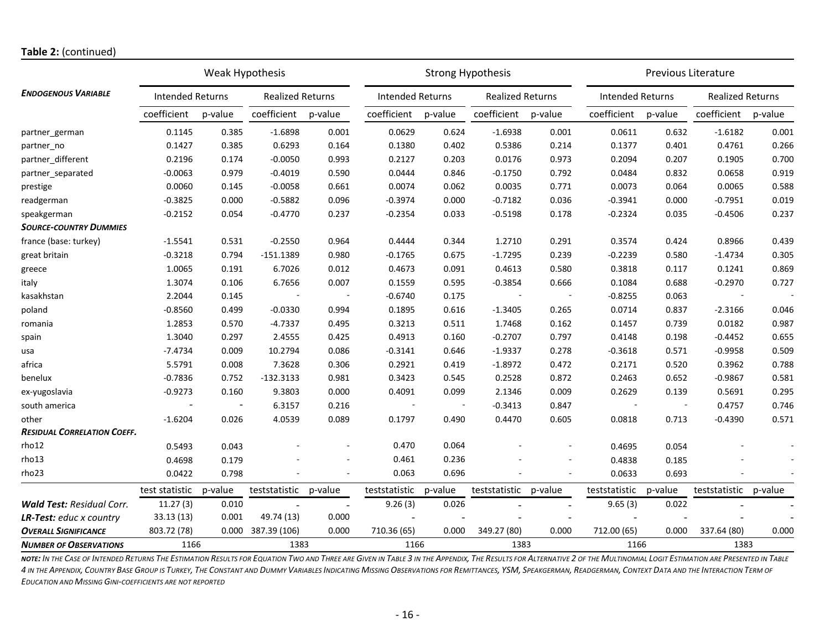#### **Table 2:** (continued)

|                                    | Weak Hypothesis         |                          |                          |                          | <b>Strong Hypothesis</b> |         |                          |                | <b>Previous Literature</b>  |         |                         |         |
|------------------------------------|-------------------------|--------------------------|--------------------------|--------------------------|--------------------------|---------|--------------------------|----------------|-----------------------------|---------|-------------------------|---------|
| <b>ENDOGENOUS VARIABLE</b>         | <b>Intended Returns</b> |                          | <b>Realized Returns</b>  |                          | <b>Intended Returns</b>  |         | <b>Realized Returns</b>  |                | <b>Intended Returns</b>     |         | <b>Realized Returns</b> |         |
|                                    | coefficient             | p-value                  | coefficient              | p-value                  | coefficient              | p-value | coefficient              | p-value        | coefficient                 | p-value | coefficient             | p-value |
| partner german                     | 0.1145                  | 0.385                    | $-1.6898$                | 0.001                    | 0.0629                   | 0.624   | $-1.6938$                | 0.001          | 0.0611                      | 0.632   | $-1.6182$               | 0.001   |
| partner no                         | 0.1427                  | 0.385                    | 0.6293                   | 0.164                    | 0.1380                   | 0.402   | 0.5386                   | 0.214          | 0.1377                      | 0.401   | 0.4761                  | 0.266   |
| partner_different                  | 0.2196                  | 0.174                    | $-0.0050$                | 0.993                    | 0.2127                   | 0.203   | 0.0176                   | 0.973          | 0.2094                      | 0.207   | 0.1905                  | 0.700   |
| partner_separated                  | $-0.0063$               | 0.979                    | $-0.4019$                | 0.590                    | 0.0444                   | 0.846   | $-0.1750$                | 0.792          | 0.0484                      | 0.832   | 0.0658                  | 0.919   |
| prestige                           | 0.0060                  | 0.145                    | $-0.0058$                | 0.661                    | 0.0074                   | 0.062   | 0.0035                   | 0.771          | 0.0073                      | 0.064   | 0.0065                  | 0.588   |
| readgerman                         | $-0.3825$               | 0.000                    | $-0.5882$                | 0.096                    | $-0.3974$                | 0.000   | $-0.7182$                | 0.036          | $-0.3941$                   | 0.000   | $-0.7951$               | 0.019   |
| speakgerman                        | $-0.2152$               | 0.054                    | $-0.4770$                | 0.237                    | $-0.2354$                | 0.033   | $-0.5198$                | 0.178          | $-0.2324$                   | 0.035   | $-0.4506$               | 0.237   |
| <b>SOURCE-COUNTRY DUMMIES</b>      |                         |                          |                          |                          |                          |         |                          |                |                             |         |                         |         |
| france (base: turkey)              | $-1.5541$               | 0.531                    | $-0.2550$                | 0.964                    | 0.4444                   | 0.344   | 1.2710                   | 0.291          | 0.3574                      | 0.424   | 0.8966                  | 0.439   |
| great britain                      | $-0.3218$               | 0.794                    | $-151.1389$              | 0.980                    | $-0.1765$                | 0.675   | $-1.7295$                | 0.239          | $-0.2239$                   | 0.580   | $-1.4734$               | 0.305   |
| greece                             | 1.0065                  | 0.191                    | 6.7026                   | 0.012                    | 0.4673                   | 0.091   | 0.4613                   | 0.580          | 0.3818                      | 0.117   | 0.1241                  | 0.869   |
| italy                              | 1.3074                  | 0.106                    | 6.7656                   | 0.007                    | 0.1559                   | 0.595   | $-0.3854$                | 0.666          | 0.1084                      | 0.688   | $-0.2970$               | 0.727   |
| kasakhstan                         | 2.2044                  | 0.145                    |                          | $\overline{\phantom{a}}$ | $-0.6740$                | 0.175   | $\overline{\phantom{a}}$ | $\sim$         | $-0.8255$                   | 0.063   |                         |         |
| poland                             | $-0.8560$               | 0.499                    | $-0.0330$                | 0.994                    | 0.1895                   | 0.616   | $-1.3405$                | 0.265          | 0.0714                      | 0.837   | $-2.3166$               | 0.046   |
| romania                            | 1.2853                  | 0.570                    | $-4.7337$                | 0.495                    | 0.3213                   | 0.511   | 1.7468                   | 0.162          | 0.1457                      | 0.739   | 0.0182                  | 0.987   |
| spain                              | 1.3040                  | 0.297                    | 2.4555                   | 0.425                    | 0.4913                   | 0.160   | $-0.2707$                | 0.797          | 0.4148                      | 0.198   | $-0.4452$               | 0.655   |
| usa                                | $-7.4734$               | 0.009                    | 10.2794                  | 0.086                    | $-0.3141$                | 0.646   | $-1.9337$                | 0.278          | $-0.3618$                   | 0.571   | $-0.9958$               | 0.509   |
| africa                             | 5.5791                  | 0.008                    | 7.3628                   | 0.306                    | 0.2921                   | 0.419   | $-1.8972$                | 0.472          | 0.2171                      | 0.520   | 0.3962                  | 0.788   |
| benelux                            | $-0.7836$               | 0.752                    | $-132.3133$              | 0.981                    | 0.3423                   | 0.545   | 0.2528                   | 0.872          | 0.2463                      | 0.652   | $-0.9867$               | 0.581   |
| ex-yugoslavia                      | $-0.9273$               | 0.160                    | 9.3803                   | 0.000                    | 0.4091                   | 0.099   | 2.1346                   | 0.009          | 0.2629                      | 0.139   | 0.5691                  | 0.295   |
| south america                      |                         | $\overline{\phantom{a}}$ | 6.3157                   | 0.216                    |                          |         | $-0.3413$                | 0.847          | $\mathcal{L}_{\mathcal{A}}$ |         | 0.4757                  | 0.746   |
| other                              | $-1.6204$               | 0.026                    | 4.0539                   | 0.089                    | 0.1797                   | 0.490   | 0.4470                   | 0.605          | 0.0818                      | 0.713   | $-0.4390$               | 0.571   |
| <b>RESIDUAL CORRELATION COEFF.</b> |                         |                          |                          |                          |                          |         |                          |                |                             |         |                         |         |
| rho12                              | 0.5493                  | 0.043                    |                          |                          | 0.470                    | 0.064   |                          |                | 0.4695                      | 0.054   |                         |         |
| rho13                              | 0.4698                  | 0.179                    |                          |                          | 0.461                    | 0.236   |                          |                | 0.4838                      | 0.185   |                         |         |
| rho23                              | 0.0422                  | 0.798                    |                          |                          | 0.063                    | 0.696   |                          |                | 0.0633                      | 0.693   |                         |         |
|                                    | test statistic          | p-value                  | teststatistic            | p-value                  | teststatistic            | p-value | teststatistic            | p-value        | teststatistic               | p-value | teststatistic           | p-value |
| <b>Wald Test: Residual Corr.</b>   | 11.27(3)                | 0.010                    | $\overline{\phantom{a}}$ | $\overline{\phantom{a}}$ | 9.26(3)                  | 0.026   | $\overline{\phantom{a}}$ |                | 9.65(3)                     | 0.022   |                         |         |
| <b>LR-Test:</b> educ x country     | 33.13 (13)              | 0.001                    | 49.74 (13)               | 0.000                    |                          |         |                          | $\blacksquare$ |                             |         |                         |         |
| <b>OVERALL SIGNIFICANCE</b>        | 803.72 (78)             | 0.000                    | 387.39 (106)             | 0.000                    | 710.36 (65)              | 0.000   | 349.27 (80)              | 0.000          | 712.00 (65)                 | 0.000   | 337.64 (80)             | 0.000   |
| <b>NUMBER OF OBSERVATIONS</b>      | 1166                    |                          | 1383                     |                          | 1166                     |         | 1383                     |                | 1166                        |         | 1383                    |         |

NOTE: IN THE CASE OF INTENDED RETURNS THE ESTIMATION RESULTS FOR EQUATION TWO AND THREE ARE GIVEN IN TABLE 3 IN THE APPENDIX, THE RESULTS FOR ALTERNATIVE 2 OF THE MULTINOMIAL LOGIT ESTIMATION ARE PRESENTED IN TABLE 4 IN THE APPENDIX, COUNTRY BASE GROUP IS TURKEY, THE CONSTANT AND DUMMY VARIABLES INDICATING MISSING OBSERVATIONS FOR REMITTANCES, YSM, SPEAKGERMAN, READGERMAN, CONTEXT DATA AND THE INTERACTION TERM OF *EDUCATION AND MISSING GINI-COEFFICIENTS ARE NOT REPORTED*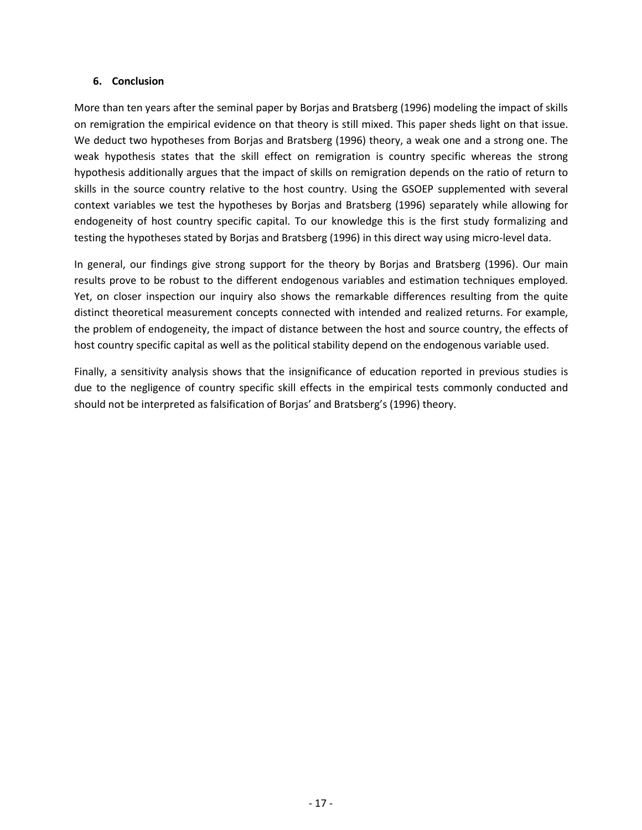#### **6. Conclusion**

More than ten years after the seminal paper by Borjas and Bratsberg (1996) modeling the impact of skills on remigration the empirical evidence on that theory is still mixed. This paper sheds light on that issue. We deduct two hypotheses from Borjas and Bratsberg (1996) theory, a weak one and a strong one. The weak hypothesis states that the skill effect on remigration is country specific whereas the strong hypothesis additionally argues that the impact of skills on remigration depends on the ratio of return to skills in the source country relative to the host country. Using the GSOEP supplemented with several context variables we test the hypotheses by Borjas and Bratsberg (1996) separately while allowing for endogeneity of host country specific capital. To our knowledge this is the first study formalizing and testing the hypotheses stated by Borjas and Bratsberg (1996) in this direct way using micro-level data.

In general, our findings give strong support for the theory by Borjas and Bratsberg (1996). Our main results prove to be robust to the different endogenous variables and estimation techniques employed. Yet, on closer inspection our inquiry also shows the remarkable differences resulting from the quite distinct theoretical measurement concepts connected with intended and realized returns. For example, the problem of endogeneity, the impact of distance between the host and source country, the effects of host country specific capital as well as the political stability depend on the endogenous variable used.

Finally, a sensitivity analysis shows that the insignificance of education reported in previous studies is due to the negligence of country specific skill effects in the empirical tests commonly conducted and should not be interpreted as falsification of Borjas' and Bratsberg's (1996) theory.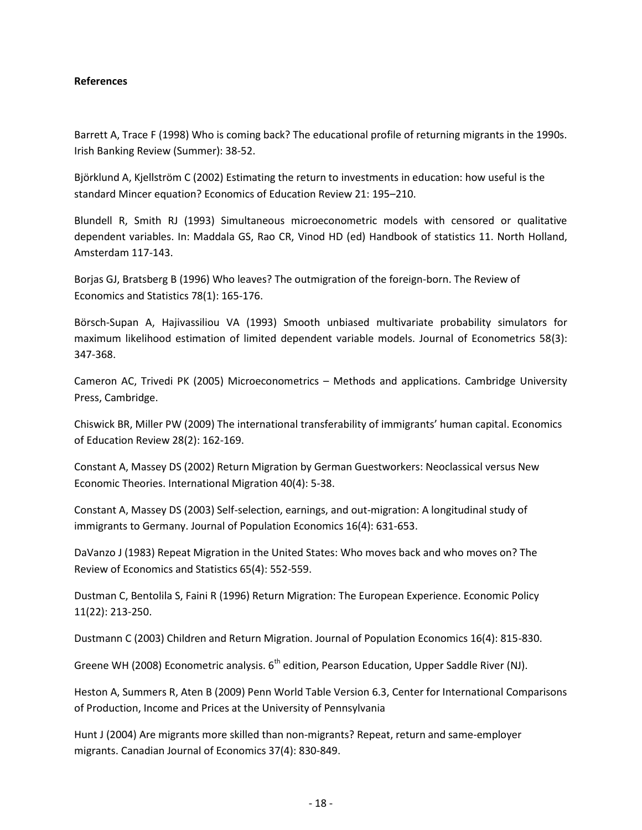#### **References**

Barrett A, Trace F (1998) Who is coming back? The educational profile of returning migrants in the 1990s. Irish Banking Review (Summer): 38-52.

Björklund A, Kjellström C (2002) Estimating the return to investments in education: how useful is the standard Mincer equation? Economics of Education Review 21: 195–210.

Blundell R, Smith RJ (1993) Simultaneous microeconometric models with censored or qualitative dependent variables. In: Maddala GS, Rao CR, Vinod HD (ed) Handbook of statistics 11. North Holland, Amsterdam 117-143.

Borjas GJ, Bratsberg B (1996) Who leaves? The outmigration of the foreign-born. The Review of Economics and Statistics 78(1): 165-176.

Börsch-Supan A, Hajivassiliou VA (1993) Smooth unbiased multivariate probability simulators for maximum likelihood estimation of limited dependent variable models. Journal of Econometrics 58(3): 347-368.

Cameron AC, Trivedi PK (2005) Microeconometrics – Methods and applications. Cambridge University Press, Cambridge.

Chiswick BR, Miller PW (2009) The international transferability of immigrants' human capital. Economics of Education Review 28(2): 162-169.

Constant A, Massey DS (2002) Return Migration by German Guestworkers: Neoclassical versus New Economic Theories. International Migration 40(4): 5-38.

Constant A, Massey DS (2003) Self-selection, earnings, and out-migration: A longitudinal study of immigrants to Germany. Journal of Population Economics 16(4): 631-653.

DaVanzo J (1983) Repeat Migration in the United States: Who moves back and who moves on? The Review of Economics and Statistics 65(4): 552-559.

Dustman C, Bentolila S, Faini R (1996) Return Migration: The European Experience. Economic Policy 11(22): 213-250.

Dustmann C (2003) Children and Return Migration. Journal of Population Economics 16(4): 815-830.

Greene WH (2008) Econometric analysis.  $6<sup>th</sup>$  edition, Pearson Education, Upper Saddle River (NJ).

Heston A, Summers R, Aten B (2009) Penn World Table Version 6.3, Center for International Comparisons of Production, Income and Prices at the University of Pennsylvania

Hunt J (2004) Are migrants more skilled than non-migrants? Repeat, return and same-employer migrants. Canadian Journal of Economics 37(4): 830-849.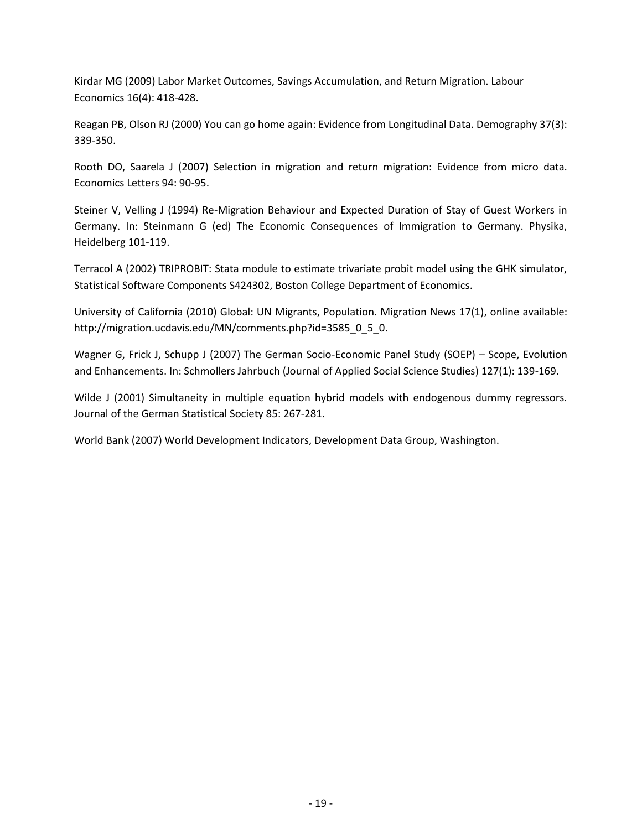Kirdar MG (2009) Labor Market Outcomes, Savings Accumulation, and Return Migration. Labour Economics 16(4): 418-428.

Reagan PB, Olson RJ (2000) You can go home again: Evidence from Longitudinal Data. Demography 37(3): 339-350.

Rooth DO, Saarela J (2007) Selection in migration and return migration: Evidence from micro data. Economics Letters 94: 90-95.

Steiner V, Velling J (1994) Re-Migration Behaviour and Expected Duration of Stay of Guest Workers in Germany. In: Steinmann G (ed) The Economic Consequences of Immigration to Germany. Physika, Heidelberg 101-119.

Terracol A (2002) TRIPROBIT: Stata module to estimate trivariate probit model using the GHK simulator, Statistical Software Components S424302, Boston College Department of Economics.

University of California (2010) Global: UN Migrants, Population. Migration News 17(1), online available: http://migration.ucdavis.edu/MN/comments.php?id=3585\_0\_5\_0.

Wagner G, Frick J, Schupp J (2007) The German Socio-Economic Panel Study (SOEP) – Scope, Evolution and Enhancements. In: Schmollers Jahrbuch (Journal of Applied Social Science Studies) 127(1): 139-169.

Wilde J (2001) Simultaneity in multiple equation hybrid models with endogenous dummy regressors. Journal of the German Statistical Society 85: 267-281.

World Bank (2007) World Development Indicators, Development Data Group, Washington.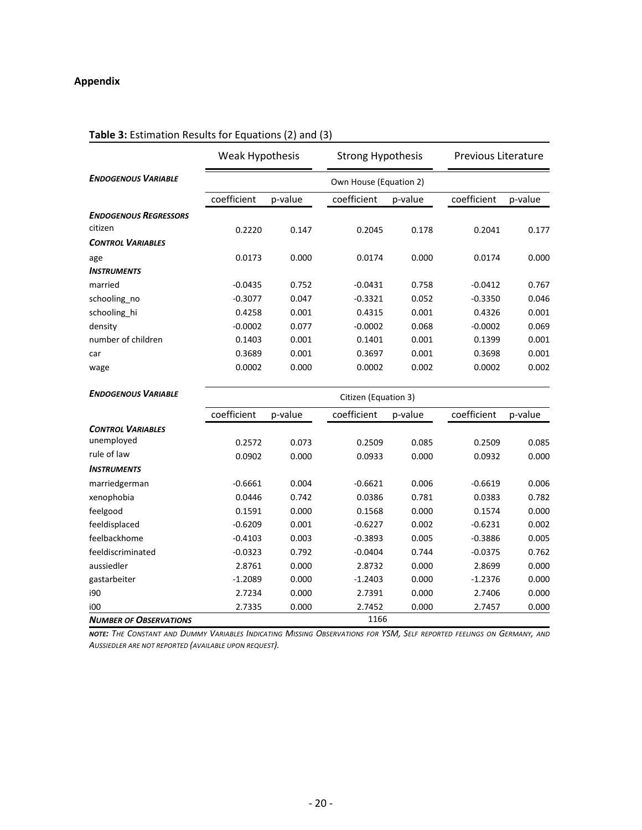#### **Appendix**

|                              | Weak Hypothesis |         | <b>Strong Hypothesis</b> |         | Previous Literature |         |  |
|------------------------------|-----------------|---------|--------------------------|---------|---------------------|---------|--|
| <b>ENDOGENOUS VARIABLE</b>   |                 |         | Own House (Equation 2)   |         |                     |         |  |
|                              | coefficient     | p-value | coefficient              | p-value | coefficient         | p-value |  |
| <b>ENDOGENOUS REGRESSORS</b> |                 |         |                          |         |                     |         |  |
| citizen                      | 0.2220          | 0.147   | 0.2045                   | 0.178   | 0.2041              | 0.177   |  |
| <b>CONTROL VARIABLES</b>     |                 |         |                          |         |                     |         |  |
| age                          | 0.0173          | 0.000   | 0.0174                   | 0.000   | 0.0174              | 0.000   |  |
| <b>INSTRUMENTS</b>           |                 |         |                          |         |                     |         |  |
| married                      | $-0.0435$       | 0.752   | $-0.0431$                | 0.758   | $-0.0412$           | 0.767   |  |
| schooling no                 | $-0.3077$       | 0.047   | $-0.3321$                | 0.052   | $-0.3350$           | 0.046   |  |
| schooling_hi                 | 0.4258          | 0.001   | 0.4315                   | 0.001   | 0.4326              | 0.001   |  |
| density                      | $-0.0002$       | 0.077   | $-0.0002$                | 0.068   | $-0.0002$           | 0.069   |  |
| number of children           | 0.1403          | 0.001   | 0.1401                   | 0.001   | 0.1399              | 0.001   |  |
| car                          | 0.3689          | 0.001   | 0.3697                   | 0.001   | 0.3698              | 0.001   |  |
| wage                         | 0.0002          | 0.000   | 0.0002                   | 0.002   | 0.0002              | 0.002   |  |

# **Table 3:** Estimation Results for Equations (2) and (3)

| <b>ENDOGENOUS VARIABLE</b>    | Citizen (Equation 3) |         |             |         |             |         |  |  |  |
|-------------------------------|----------------------|---------|-------------|---------|-------------|---------|--|--|--|
|                               | coefficient          | p-value | coefficient | p-value | coefficient | p-value |  |  |  |
| <b>CONTROL VARIABLES</b>      |                      |         |             |         |             |         |  |  |  |
| unemployed                    | 0.2572               | 0.073   | 0.2509      | 0.085   | 0.2509      | 0.085   |  |  |  |
| rule of law                   | 0.0902               | 0.000   | 0.0933      | 0.000   | 0.0932      | 0.000   |  |  |  |
| <b>INSTRUMENTS</b>            |                      |         |             |         |             |         |  |  |  |
| marriedgerman                 | $-0.6661$            | 0.004   | $-0.6621$   | 0.006   | $-0.6619$   | 0.006   |  |  |  |
| xenophobia                    | 0.0446               | 0.742   | 0.0386      | 0.781   | 0.0383      | 0.782   |  |  |  |
| feelgood                      | 0.1591               | 0.000   | 0.1568      | 0.000   | 0.1574      | 0.000   |  |  |  |
| feeldisplaced                 | $-0.6209$            | 0.001   | $-0.6227$   | 0.002   | $-0.6231$   | 0.002   |  |  |  |
| feelbackhome                  | $-0.4103$            | 0.003   | $-0.3893$   | 0.005   | $-0.3886$   | 0.005   |  |  |  |
| feeldiscriminated             | $-0.0323$            | 0.792   | $-0.0404$   | 0.744   | $-0.0375$   | 0.762   |  |  |  |
| aussiedler                    | 2.8761               | 0.000   | 2.8732      | 0.000   | 2.8699      | 0.000   |  |  |  |
| gastarbeiter                  | $-1.2089$            | 0.000   | $-1.2403$   | 0.000   | $-1.2376$   | 0.000   |  |  |  |
| i90                           | 2.7234               | 0.000   | 2.7391      | 0.000   | 2.7406      | 0.000   |  |  |  |
| i00                           | 2.7335               | 0.000   | 2.7452      | 0.000   | 2.7457      | 0.000   |  |  |  |
| <b>NUMBER OF OBSERVATIONS</b> |                      |         | 1166        |         |             |         |  |  |  |

 $-ORY$ **note:** The Constant and Dummy Variables Indicating Missing Observations for YSM, Self reported feelings on Germany, and<br>Aussiedier are not reported (availarie upon request) *AUSSIEDLER ARE NOT REPORTED (AVAILABLE UPON REQUEST).*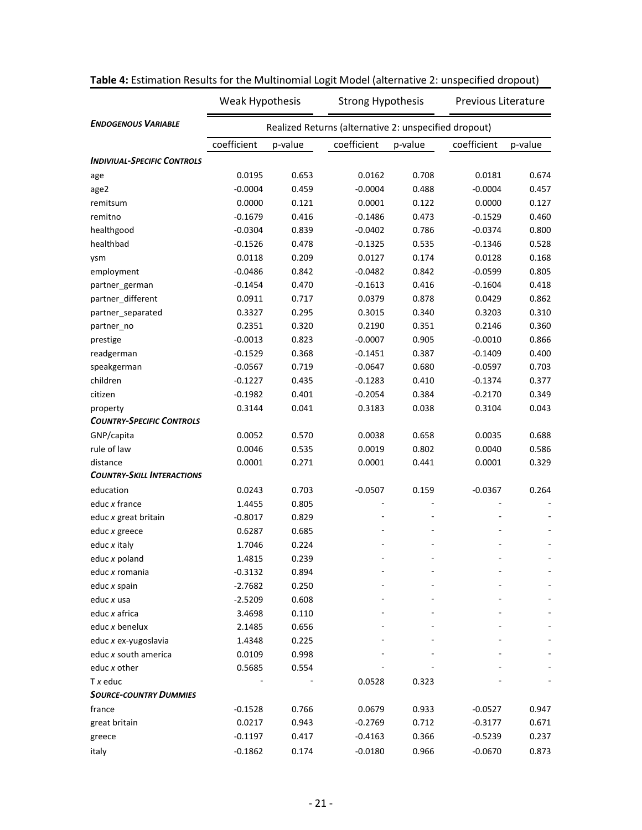|                                    | Weak Hypothesis                                       |         | <b>Strong Hypothesis</b> |         | Previous Literature |         |  |  |  |  |
|------------------------------------|-------------------------------------------------------|---------|--------------------------|---------|---------------------|---------|--|--|--|--|
| <b>ENDOGENOUS VARIABLE</b>         | Realized Returns (alternative 2: unspecified dropout) |         |                          |         |                     |         |  |  |  |  |
|                                    | coefficient                                           | p-value | coefficient              | p-value | coefficient         | p-value |  |  |  |  |
| <b>INDIVIUAL-SPECIFIC CONTROLS</b> |                                                       |         |                          |         |                     |         |  |  |  |  |
| age                                | 0.0195                                                | 0.653   | 0.0162                   | 0.708   | 0.0181              | 0.674   |  |  |  |  |
| age2                               | $-0.0004$                                             | 0.459   | $-0.0004$                | 0.488   | $-0.0004$           | 0.457   |  |  |  |  |
| remitsum                           | 0.0000                                                | 0.121   | 0.0001                   | 0.122   | 0.0000              | 0.127   |  |  |  |  |
| remitno                            | $-0.1679$                                             | 0.416   | $-0.1486$                | 0.473   | $-0.1529$           | 0.460   |  |  |  |  |
| healthgood                         | $-0.0304$                                             | 0.839   | $-0.0402$                | 0.786   | $-0.0374$           | 0.800   |  |  |  |  |
| healthbad                          | $-0.1526$                                             | 0.478   | $-0.1325$                | 0.535   | $-0.1346$           | 0.528   |  |  |  |  |
| ysm                                | 0.0118                                                | 0.209   | 0.0127                   | 0.174   | 0.0128              | 0.168   |  |  |  |  |
| employment                         | $-0.0486$                                             | 0.842   | $-0.0482$                | 0.842   | $-0.0599$           | 0.805   |  |  |  |  |
| partner_german                     | $-0.1454$                                             | 0.470   | $-0.1613$                | 0.416   | $-0.1604$           | 0.418   |  |  |  |  |
| partner_different                  | 0.0911                                                | 0.717   | 0.0379                   | 0.878   | 0.0429              | 0.862   |  |  |  |  |
| partner_separated                  | 0.3327                                                | 0.295   | 0.3015                   | 0.340   | 0.3203              | 0.310   |  |  |  |  |
| partner no                         | 0.2351                                                | 0.320   | 0.2190                   | 0.351   | 0.2146              | 0.360   |  |  |  |  |
| prestige                           | $-0.0013$                                             | 0.823   | $-0.0007$                | 0.905   | $-0.0010$           | 0.866   |  |  |  |  |
| readgerman                         | $-0.1529$                                             | 0.368   | $-0.1451$                | 0.387   | $-0.1409$           | 0.400   |  |  |  |  |
| speakgerman                        | $-0.0567$                                             | 0.719   | $-0.0647$                | 0.680   | $-0.0597$           | 0.703   |  |  |  |  |
| children                           | $-0.1227$                                             | 0.435   | $-0.1283$                | 0.410   | $-0.1374$           | 0.377   |  |  |  |  |
| citizen                            | $-0.1982$                                             | 0.401   | $-0.2054$                | 0.384   | $-0.2170$           | 0.349   |  |  |  |  |
| property                           | 0.3144                                                | 0.041   | 0.3183                   | 0.038   | 0.3104              | 0.043   |  |  |  |  |
| <b>COUNTRY-SPECIFIC CONTROLS</b>   |                                                       |         |                          |         |                     |         |  |  |  |  |
| GNP/capita                         | 0.0052                                                | 0.570   | 0.0038                   | 0.658   | 0.0035              | 0.688   |  |  |  |  |
| rule of law                        | 0.0046                                                | 0.535   | 0.0019                   | 0.802   | 0.0040              | 0.586   |  |  |  |  |
| distance                           | 0.0001                                                | 0.271   | 0.0001                   | 0.441   | 0.0001              | 0.329   |  |  |  |  |
| <b>COUNTRY-SKILL INTERACTIONS</b>  |                                                       |         |                          |         |                     |         |  |  |  |  |
| education                          | 0.0243                                                | 0.703   | $-0.0507$                | 0.159   | $-0.0367$           | 0.264   |  |  |  |  |
| educ x france                      | 1.4455                                                | 0.805   |                          |         |                     |         |  |  |  |  |
| educ x great britain               | $-0.8017$                                             | 0.829   |                          |         |                     |         |  |  |  |  |
| educ x greece                      | 0.6287                                                | 0.685   |                          |         |                     |         |  |  |  |  |
| educ x italy                       | 1.7046                                                | 0.224   |                          |         |                     |         |  |  |  |  |
| educ x poland                      | 1.4815                                                | 0.239   |                          |         |                     |         |  |  |  |  |
| educ x romania                     | $-0.3132$                                             | 0.894   |                          |         |                     |         |  |  |  |  |
| educ x spain                       | $-2.7682$                                             | 0.250   |                          |         |                     |         |  |  |  |  |
| educ x usa                         | $-2.5209$                                             | 0.608   |                          |         |                     |         |  |  |  |  |
| educ x africa                      | 3.4698                                                | 0.110   |                          |         |                     |         |  |  |  |  |
| educ x benelux                     | 2.1485                                                | 0.656   |                          |         |                     |         |  |  |  |  |
| educ x ex-yugoslavia               | 1.4348                                                | 0.225   |                          |         |                     |         |  |  |  |  |
| educ x south america               | 0.0109                                                | 0.998   |                          |         |                     |         |  |  |  |  |
| educ x other                       | 0.5685                                                | 0.554   |                          |         |                     |         |  |  |  |  |
| $Tx$ educ                          |                                                       |         | 0.0528                   | 0.323   |                     |         |  |  |  |  |
| <b>SOURCE-COUNTRY DUMMIES</b>      |                                                       |         |                          |         |                     |         |  |  |  |  |
| france                             | $-0.1528$                                             | 0.766   | 0.0679                   | 0.933   | $-0.0527$           | 0.947   |  |  |  |  |
| great britain                      | 0.0217                                                | 0.943   | $-0.2769$                | 0.712   | $-0.3177$           | 0.671   |  |  |  |  |
| greece                             | $-0.1197$                                             | 0.417   | $-0.4163$                | 0.366   | $-0.5239$           | 0.237   |  |  |  |  |
| italy                              | $-0.1862$                                             | 0.174   | $-0.0180$                | 0.966   | $-0.0670$           | 0.873   |  |  |  |  |

| Table 4: Estimation Results for the Multinomial Logit Model (alternative 2: unspecified dropout) |  |  |
|--------------------------------------------------------------------------------------------------|--|--|
|--------------------------------------------------------------------------------------------------|--|--|